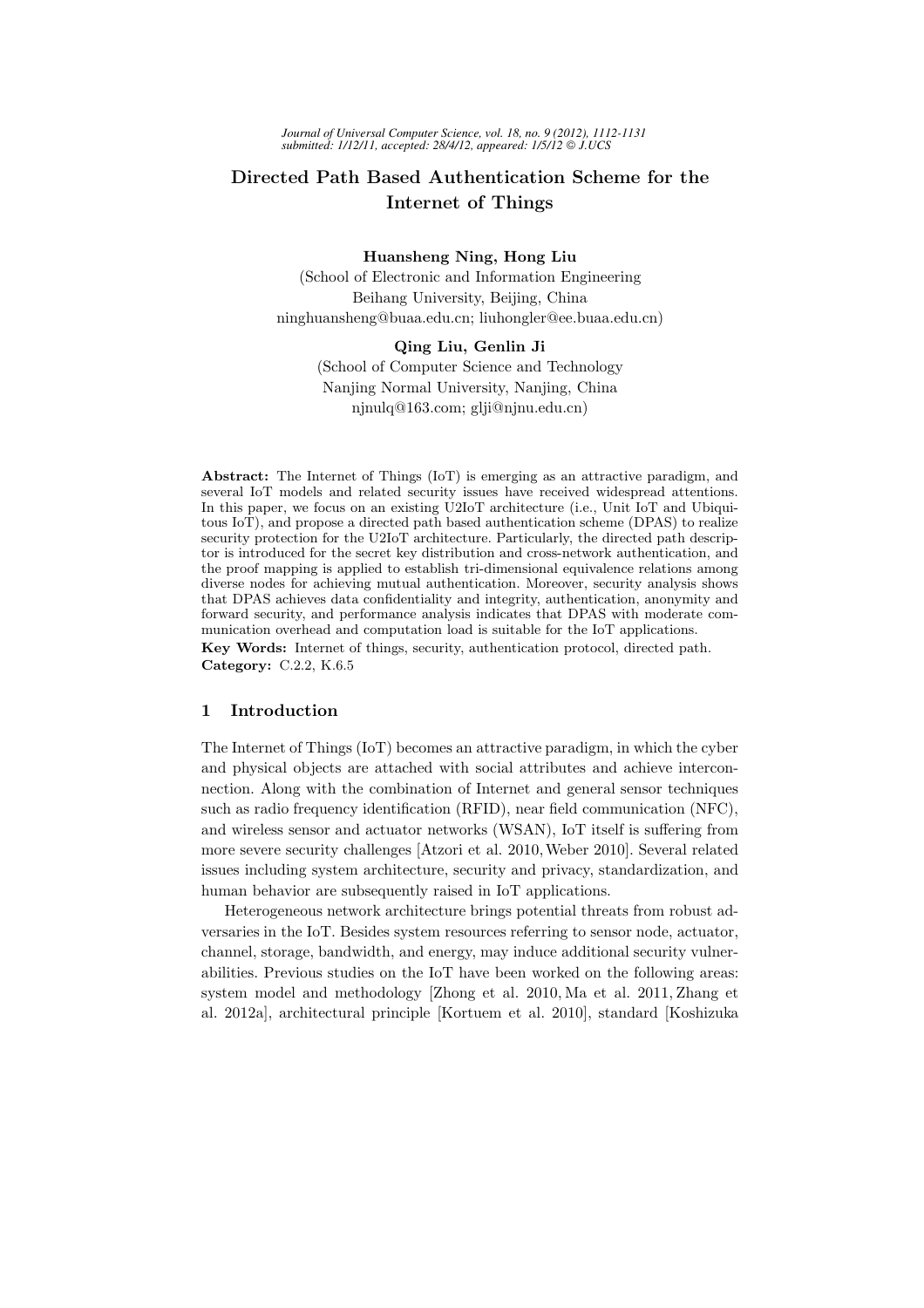# Directed Path Based Authentication Scheme for the Internet of Things

### Huansheng Ning, Hong Liu

(School of Electronic and Information Engineering Beihang University, Beijing, China ninghuansheng@buaa.edu.cn; liuhongler@ee.buaa.edu.cn)

## Qing Liu, Genlin Ji

(School of Computer Science and Technology Nanjing Normal University, Nanjing, China njnulq@163.com; glji@njnu.edu.cn)

Abstract: The Internet of Things (IoT) is emerging as an attractive paradigm, and several IoT models and related security issues have received widespread attentions. In this paper, we focus on an existing U2IoT architecture (i.e., Unit IoT and Ubiquitous IoT), and propose a directed path based authentication scheme (DPAS) to realize security protection for the U2IoT architecture. Particularly, the directed path descriptor is introduced for the secret key distribution and cross-network authentication, and the proof mapping is applied to establish tri-dimensional equivalence relations among diverse nodes for achieving mutual authentication. Moreover, security analysis shows that DPAS achieves data confidentiality and integrity, authentication, anonymity and forward security, and performance analysis indicates that DPAS with moderate communication overhead and computation load is suitable for the IoT applications. Key Words: Internet of things, security, authentication protocol, directed path. Category: C.2.2, K.6.5

## 1 Introduction

The Internet of Things (IoT) becomes an attractive paradigm, in which the cyber and physical objects are attached with social attributes and achieve interconnection. Along with the combination of Internet and general sensor techniques such as radio frequency identification (RFID), near field communication (NFC), and wireless sensor and actuator networks (WSAN), IoT itself is suffering from more severe security challenges [Atzori et al. 2010,Weber 2010]. Several related issues including system architecture, security and privacy, standardization, and human behavior are subsequently raised in IoT applications.

Heterogeneous network architecture brings potential threats from robust adversaries in the IoT. Besides system resources referring to sensor node, actuator, channel, storage, bandwidth, and energy, may induce additional security vulnerabilities. Previous studies on the IoT have been worked on the following areas: system model and methodology [Zhong et al. 2010, Ma et al. 2011, Zhang et al. 2012a], architectural principle [Kortuem et al. 2010], standard [Koshizuka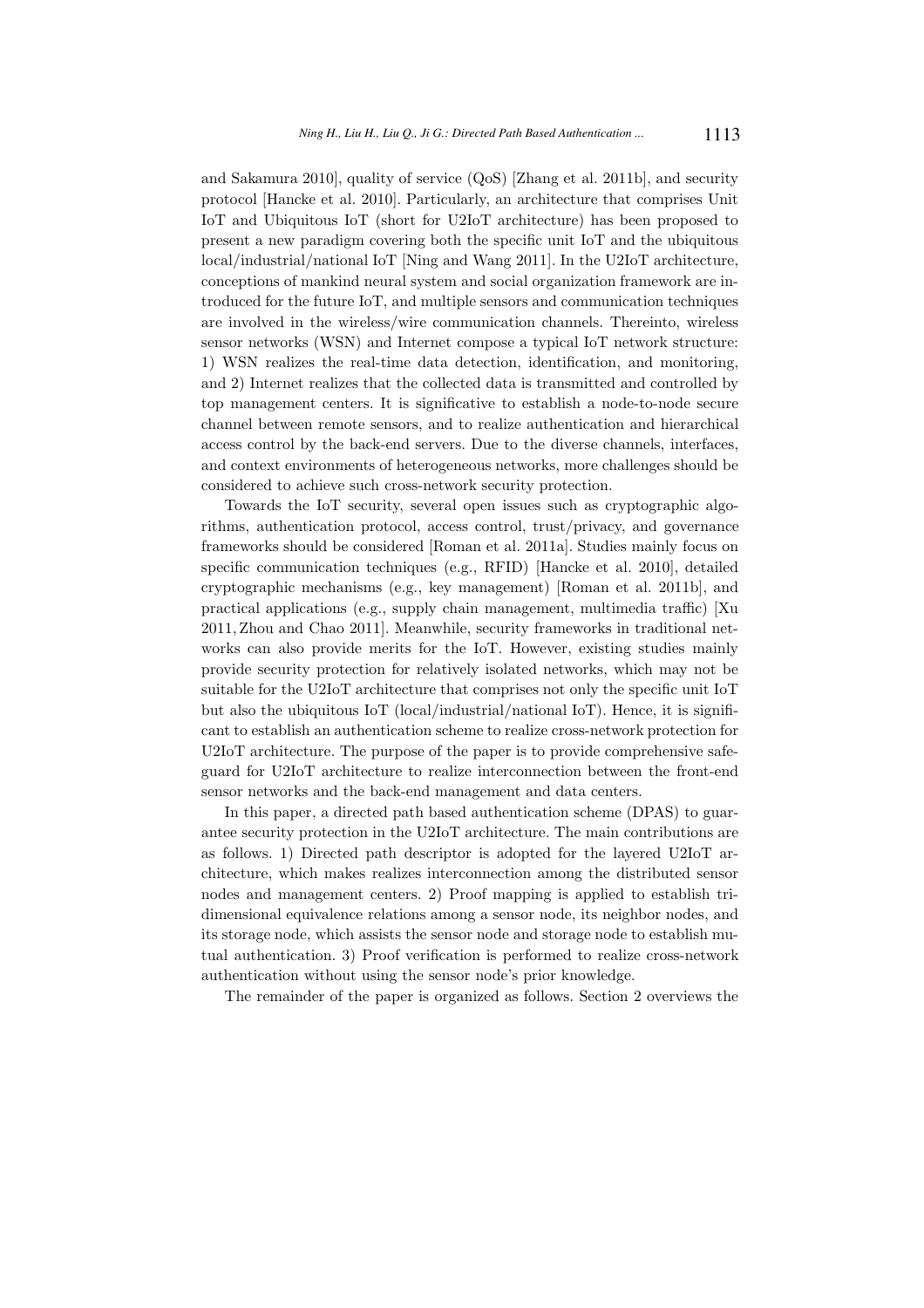and Sakamura 2010], quality of service (QoS) [Zhang et al. 2011b], and security protocol [Hancke et al. 2010]. Particularly, an architecture that comprises Unit IoT and Ubiquitous IoT (short for U2IoT architecture) has been proposed to present a new paradigm covering both the specific unit IoT and the ubiquitous local/industrial/national IoT [Ning and Wang 2011]. In the U2IoT architecture, conceptions of mankind neural system and social organization framework are introduced for the future IoT, and multiple sensors and communication techniques are involved in the wireless/wire communication channels. Thereinto, wireless sensor networks (WSN) and Internet compose a typical IoT network structure: 1) WSN realizes the real-time data detection, identification, and monitoring, and 2) Internet realizes that the collected data is transmitted and controlled by top management centers. It is significative to establish a node-to-node secure channel between remote sensors, and to realize authentication and hierarchical access control by the back-end servers. Due to the diverse channels, interfaces, and context environments of heterogeneous networks, more challenges should be considered to achieve such cross-network security protection.

Towards the IoT security, several open issues such as cryptographic algorithms, authentication protocol, access control, trust/privacy, and governance frameworks should be considered [Roman et al. 2011a]. Studies mainly focus on specific communication techniques (e.g., RFID) [Hancke et al. 2010], detailed cryptographic mechanisms (e.g., key management) [Roman et al. 2011b], and practical applications (e.g., supply chain management, multimedia traffic) [Xu 2011, Zhou and Chao 2011]. Meanwhile, security frameworks in traditional networks can also provide merits for the IoT. However, existing studies mainly provide security protection for relatively isolated networks, which may not be suitable for the U2IoT architecture that comprises not only the specific unit IoT but also the ubiquitous IoT (local/industrial/national IoT). Hence, it is significant to establish an authentication scheme to realize cross-network protection for U2IoT architecture. The purpose of the paper is to provide comprehensive safeguard for U2IoT architecture to realize interconnection between the front-end sensor networks and the back-end management and data centers.

In this paper, a directed path based authentication scheme (DPAS) to guarantee security protection in the U2IoT architecture. The main contributions are as follows. 1) Directed path descriptor is adopted for the layered U2IoT architecture, which makes realizes interconnection among the distributed sensor nodes and management centers. 2) Proof mapping is applied to establish tridimensional equivalence relations among a sensor node, its neighbor nodes, and its storage node, which assists the sensor node and storage node to establish mutual authentication. 3) Proof verification is performed to realize cross-network authentication without using the sensor node's prior knowledge.

The remainder of the paper is organized as follows. Section 2 overviews the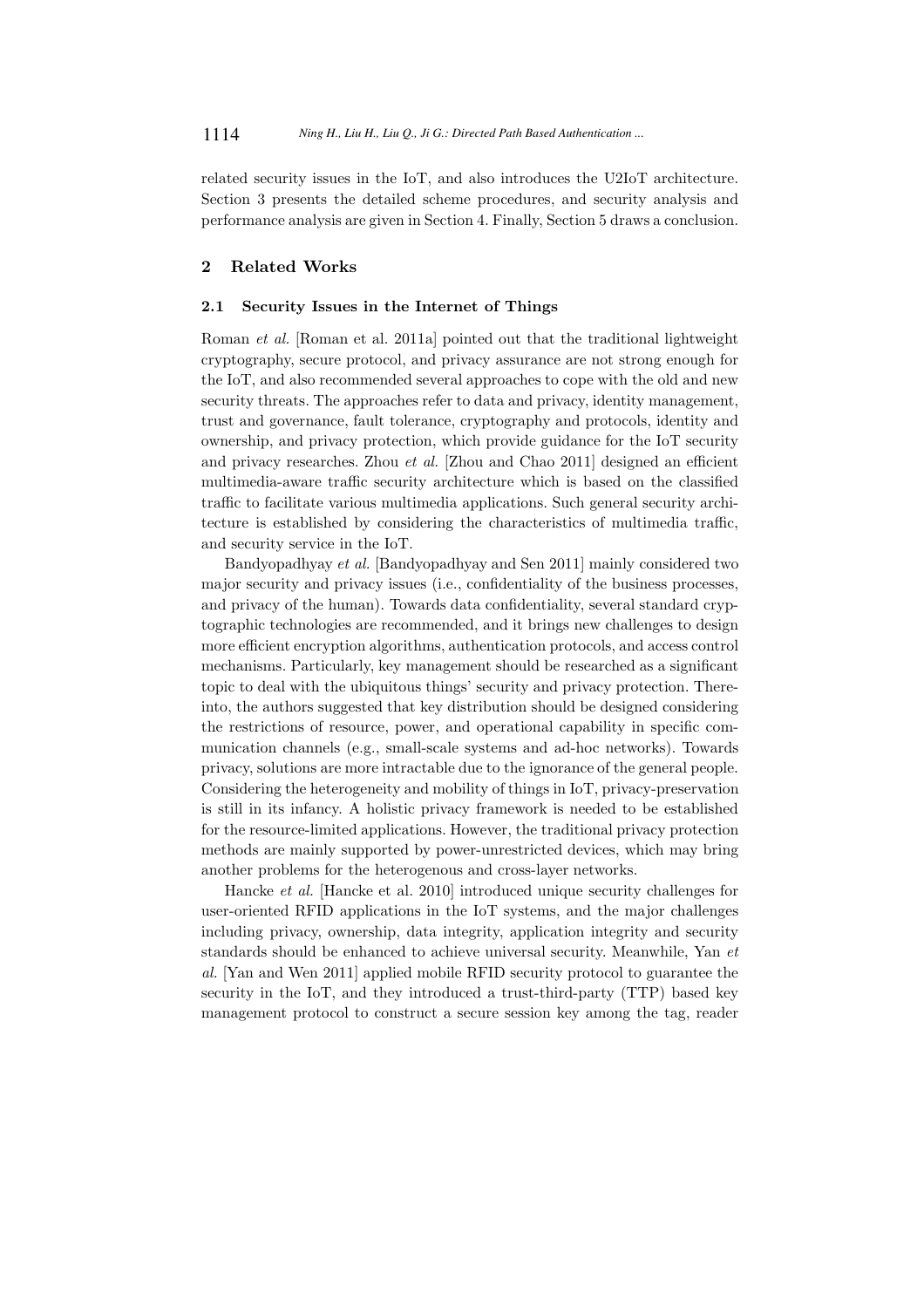related security issues in the IoT, and also introduces the U2IoT architecture. Section 3 presents the detailed scheme procedures, and security analysis and performance analysis are given in Section 4. Finally, Section 5 draws a conclusion.

## 2 Related Works

#### 2.1 Security Issues in the Internet of Things

Roman et al. [Roman et al. 2011a] pointed out that the traditional lightweight cryptography, secure protocol, and privacy assurance are not strong enough for the IoT, and also recommended several approaches to cope with the old and new security threats. The approaches refer to data and privacy, identity management, trust and governance, fault tolerance, cryptography and protocols, identity and ownership, and privacy protection, which provide guidance for the IoT security and privacy researches. Zhou et al. [Zhou and Chao 2011] designed an efficient multimedia-aware traffic security architecture which is based on the classified traffic to facilitate various multimedia applications. Such general security architecture is established by considering the characteristics of multimedia traffic, and security service in the IoT.

Bandyopadhyay et al. [Bandyopadhyay and Sen 2011] mainly considered two major security and privacy issues (i.e., confidentiality of the business processes, and privacy of the human). Towards data confidentiality, several standard cryptographic technologies are recommended, and it brings new challenges to design more efficient encryption algorithms, authentication protocols, and access control mechanisms. Particularly, key management should be researched as a significant topic to deal with the ubiquitous things' security and privacy protection. Thereinto, the authors suggested that key distribution should be designed considering the restrictions of resource, power, and operational capability in specific communication channels (e.g., small-scale systems and ad-hoc networks). Towards privacy, solutions are more intractable due to the ignorance of the general people. Considering the heterogeneity and mobility of things in IoT, privacy-preservation is still in its infancy. A holistic privacy framework is needed to be established for the resource-limited applications. However, the traditional privacy protection methods are mainly supported by power-unrestricted devices, which may bring another problems for the heterogenous and cross-layer networks.

Hancke et al. [Hancke et al. 2010] introduced unique security challenges for user-oriented RFID applications in the IoT systems, and the major challenges including privacy, ownership, data integrity, application integrity and security standards should be enhanced to achieve universal security. Meanwhile, Yan et al. [Yan and Wen 2011] applied mobile RFID security protocol to guarantee the security in the IoT, and they introduced a trust-third-party (TTP) based key management protocol to construct a secure session key among the tag, reader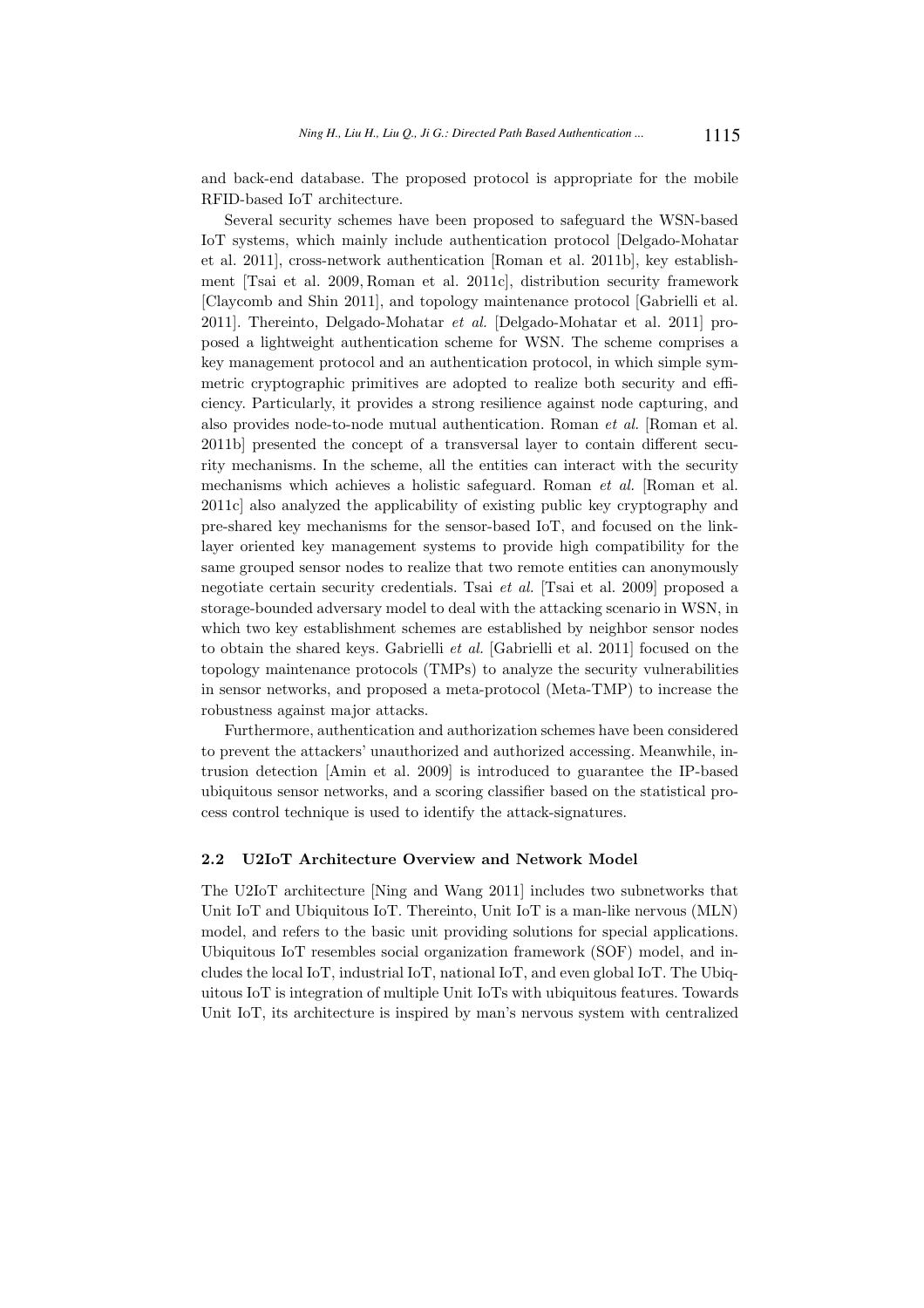and back-end database. The proposed protocol is appropriate for the mobile RFID-based IoT architecture.

Several security schemes have been proposed to safeguard the WSN-based IoT systems, which mainly include authentication protocol [Delgado-Mohatar et al. 2011], cross-network authentication [Roman et al. 2011b], key establishment [Tsai et al. 2009, Roman et al. 2011c], distribution security framework [Claycomb and Shin 2011], and topology maintenance protocol [Gabrielli et al. 2011]. Thereinto, Delgado-Mohatar et al. [Delgado-Mohatar et al. 2011] proposed a lightweight authentication scheme for WSN. The scheme comprises a key management protocol and an authentication protocol, in which simple symmetric cryptographic primitives are adopted to realize both security and efficiency. Particularly, it provides a strong resilience against node capturing, and also provides node-to-node mutual authentication. Roman et al. [Roman et al. 2011b] presented the concept of a transversal layer to contain different security mechanisms. In the scheme, all the entities can interact with the security mechanisms which achieves a holistic safeguard. Roman et al. [Roman et al. 2011c] also analyzed the applicability of existing public key cryptography and pre-shared key mechanisms for the sensor-based IoT, and focused on the linklayer oriented key management systems to provide high compatibility for the same grouped sensor nodes to realize that two remote entities can anonymously negotiate certain security credentials. Tsai et al. [Tsai et al. 2009] proposed a storage-bounded adversary model to deal with the attacking scenario in WSN, in which two key establishment schemes are established by neighbor sensor nodes to obtain the shared keys. Gabrielli et al. [Gabrielli et al. 2011] focused on the topology maintenance protocols (TMPs) to analyze the security vulnerabilities in sensor networks, and proposed a meta-protocol (Meta-TMP) to increase the robustness against major attacks.

Furthermore, authentication and authorization schemes have been considered to prevent the attackers' unauthorized and authorized accessing. Meanwhile, intrusion detection [Amin et al. 2009] is introduced to guarantee the IP-based ubiquitous sensor networks, and a scoring classifier based on the statistical process control technique is used to identify the attack-signatures.

## 2.2 U2IoT Architecture Overview and Network Model

The U2IoT architecture [Ning and Wang 2011] includes two subnetworks that Unit IoT and Ubiquitous IoT. Thereinto, Unit IoT is a man-like nervous (MLN) model, and refers to the basic unit providing solutions for special applications. Ubiquitous IoT resembles social organization framework (SOF) model, and includes the local IoT, industrial IoT, national IoT, and even global IoT. The Ubiquitous IoT is integration of multiple Unit IoTs with ubiquitous features. Towards Unit IoT, its architecture is inspired by man's nervous system with centralized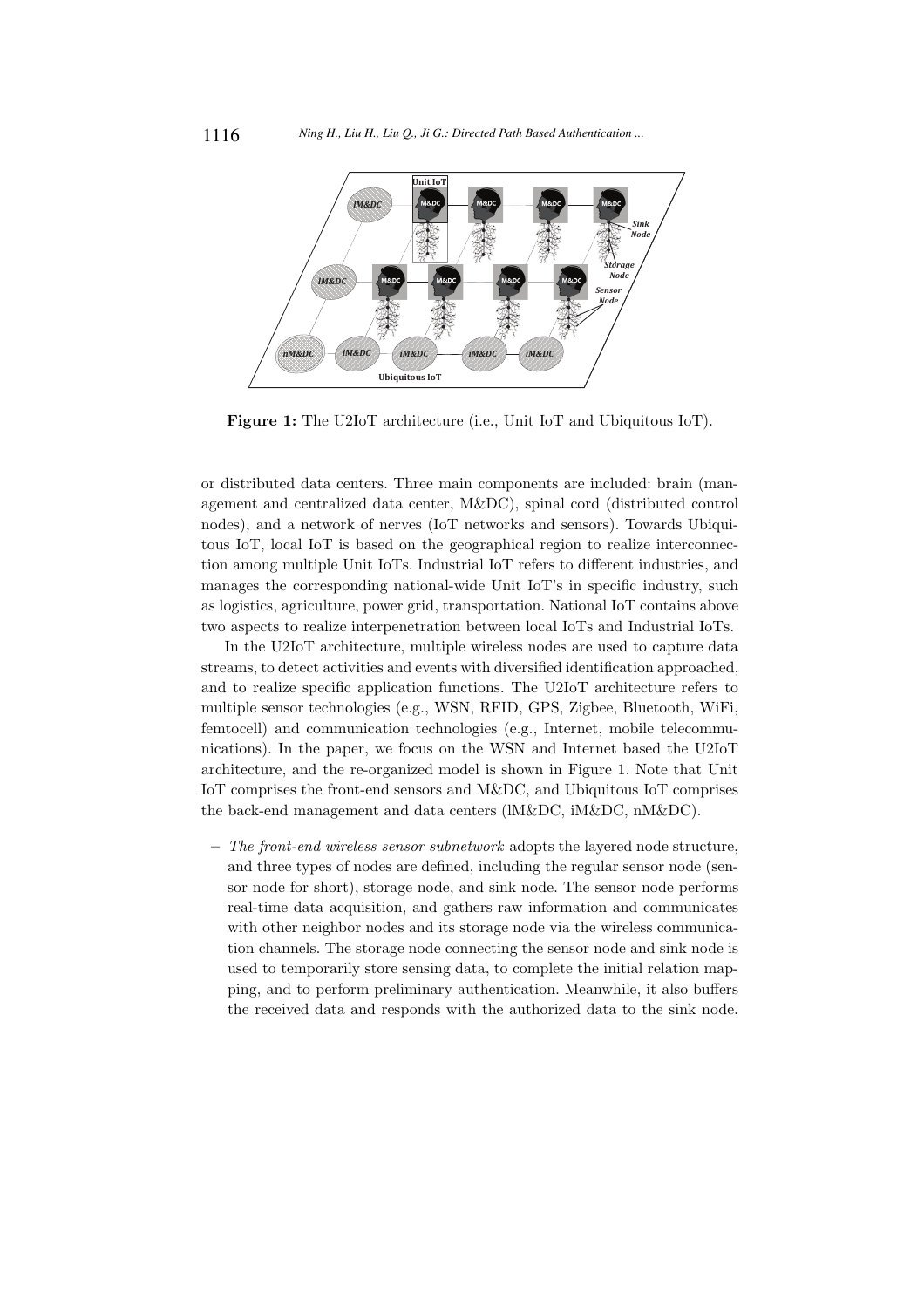

Figure 1: The U2IoT architecture (i.e., Unit IoT and Ubiquitous IoT).

or distributed data centers. Three main components are included: brain (management and centralized data center, M&DC), spinal cord (distributed control nodes), and a network of nerves (IoT networks and sensors). Towards Ubiquitous IoT, local IoT is based on the geographical region to realize interconnection among multiple Unit IoTs. Industrial IoT refers to different industries, and manages the corresponding national-wide Unit IoT's in specific industry, such as logistics, agriculture, power grid, transportation. National IoT contains above two aspects to realize interpenetration between local IoTs and Industrial IoTs.

In the U2IoT architecture, multiple wireless nodes are used to capture data streams, to detect activities and events with diversified identification approached, and to realize specific application functions. The U2IoT architecture refers to multiple sensor technologies (e.g., WSN, RFID, GPS, Zigbee, Bluetooth, WiFi, femtocell) and communication technologies (e.g., Internet, mobile telecommunications). In the paper, we focus on the WSN and Internet based the U2IoT architecture, and the re-organized model is shown in Figure 1. Note that Unit IoT comprises the front-end sensors and M&DC, and Ubiquitous IoT comprises the back-end management and data centers (lM&DC, iM&DC, nM&DC).

 $-$  The front-end wireless sensor subnetwork adopts the layered node structure, and three types of nodes are defined, including the regular sensor node (sensor node for short), storage node, and sink node. The sensor node performs real-time data acquisition, and gathers raw information and communicates with other neighbor nodes and its storage node via the wireless communication channels. The storage node connecting the sensor node and sink node is used to temporarily store sensing data, to complete the initial relation mapping, and to perform preliminary authentication. Meanwhile, it also buffers the received data and responds with the authorized data to the sink node.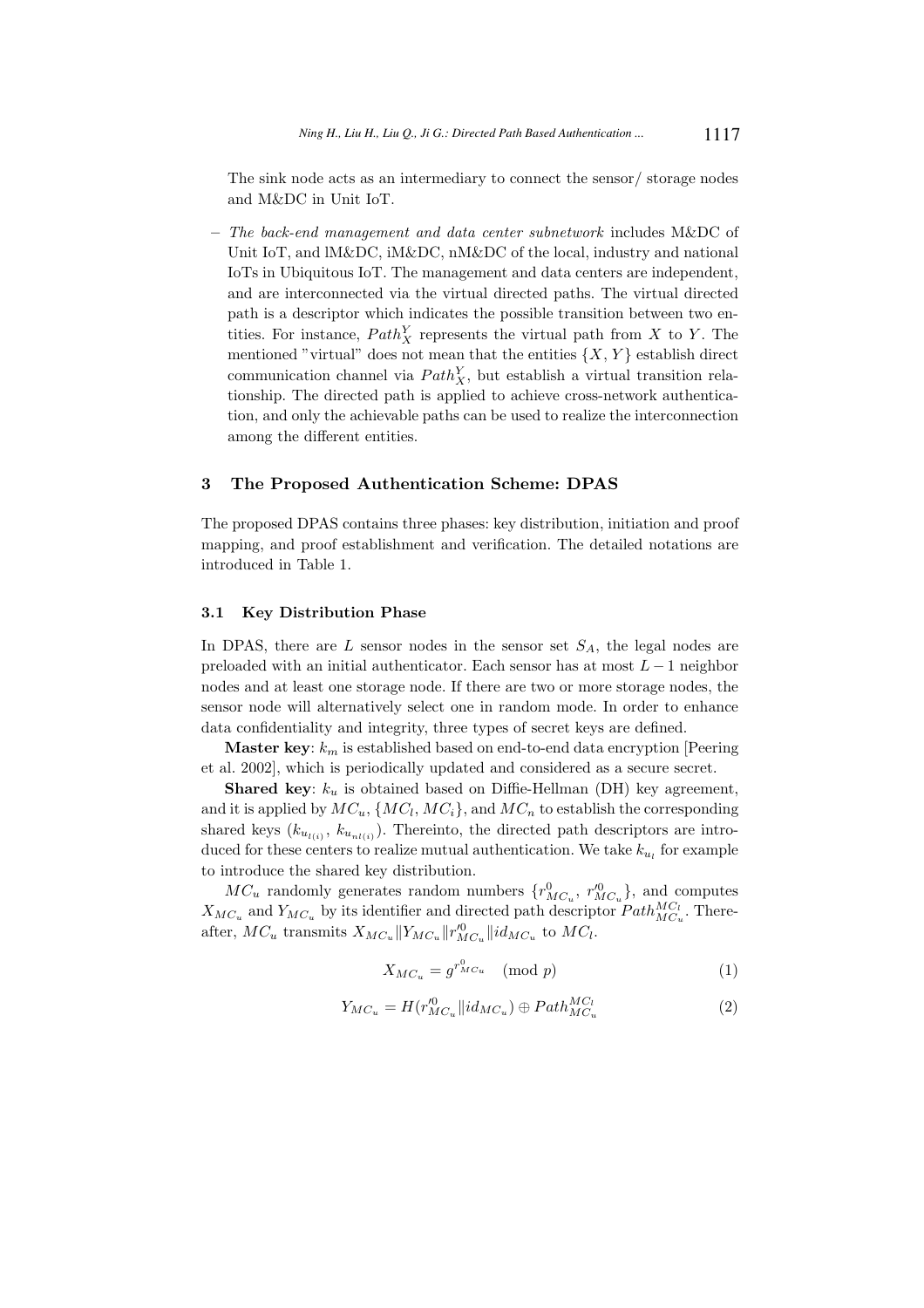The sink node acts as an intermediary to connect the sensor/ storage nodes and M&DC in Unit IoT.

– The back-end management and data center subnetwork includes M&DC of Unit IoT, and lM&DC, iM&DC, nM&DC of the local, industry and national IoTs in Ubiquitous IoT. The management and data centers are independent, and are interconnected via the virtual directed paths. The virtual directed path is a descriptor which indicates the possible transition between two entities. For instance,  $Path_X^Y$  represents the virtual path from X to Y. The mentioned "virtual" does not mean that the entities  $\{X, Y\}$  establish direct communication channel via  $Path_{X}^{Y}$ , but establish a virtual transition relationship. The directed path is applied to achieve cross-network authentication, and only the achievable paths can be used to realize the interconnection among the different entities.

## 3 The Proposed Authentication Scheme: DPAS

The proposed DPAS contains three phases: key distribution, initiation and proof mapping, and proof establishment and verification. The detailed notations are introduced in Table 1.

#### 3.1 Key Distribution Phase

In DPAS, there are  $L$  sensor nodes in the sensor set  $S_A$ , the legal nodes are preloaded with an initial authenticator. Each sensor has at most  $L - 1$  neighbor nodes and at least one storage node. If there are two or more storage nodes, the sensor node will alternatively select one in random mode. In order to enhance data confidentiality and integrity, three types of secret keys are defined.

**Master key:**  $k_m$  is established based on end-to-end data encryption [Peering et al. 2002], which is periodically updated and considered as a secure secret.

**Shared key:**  $k_u$  is obtained based on Diffie-Hellman (DH) key agreement, and it is applied by  $MC_u$ ,  $\{MC_l, MC_i\}$ , and  $MC_n$  to establish the corresponding shared keys  $(k_{u_{l(i)}}, k_{u_{nl(i)}})$ . Thereinto, the directed path descriptors are introduced for these centers to realize mutual authentication. We take  $k_{u_l}$  for example to introduce the shared key distribution.

 $MC_u$  randomly generates random numbers  $\{r_{MC_u}^0, r_{MC_u}^{\prime 0}\}$ , and computes  $X_{MC_u}$  and  $Y_{MC_u}$  by its identifier and directed path descriptor  $Path_{MC_u}^{MC_l}$ . Thereafter,  $MC_u$  transmits  $X_{MC_u} || Y_{MC_u} || r_{MC_u}^{\prime 0} || id_{MC_u}$  to  $MC_l$ .

$$
X_{MC_u} = g^{r_{MC_u}^0} \pmod{p} \tag{1}
$$

$$
Y_{MC_u} = H(r_{MC_u}^{\prime 0} || id_{MC_u}) \oplus Path_{MC_u}^{MC_l}
$$
\n
$$
(2)
$$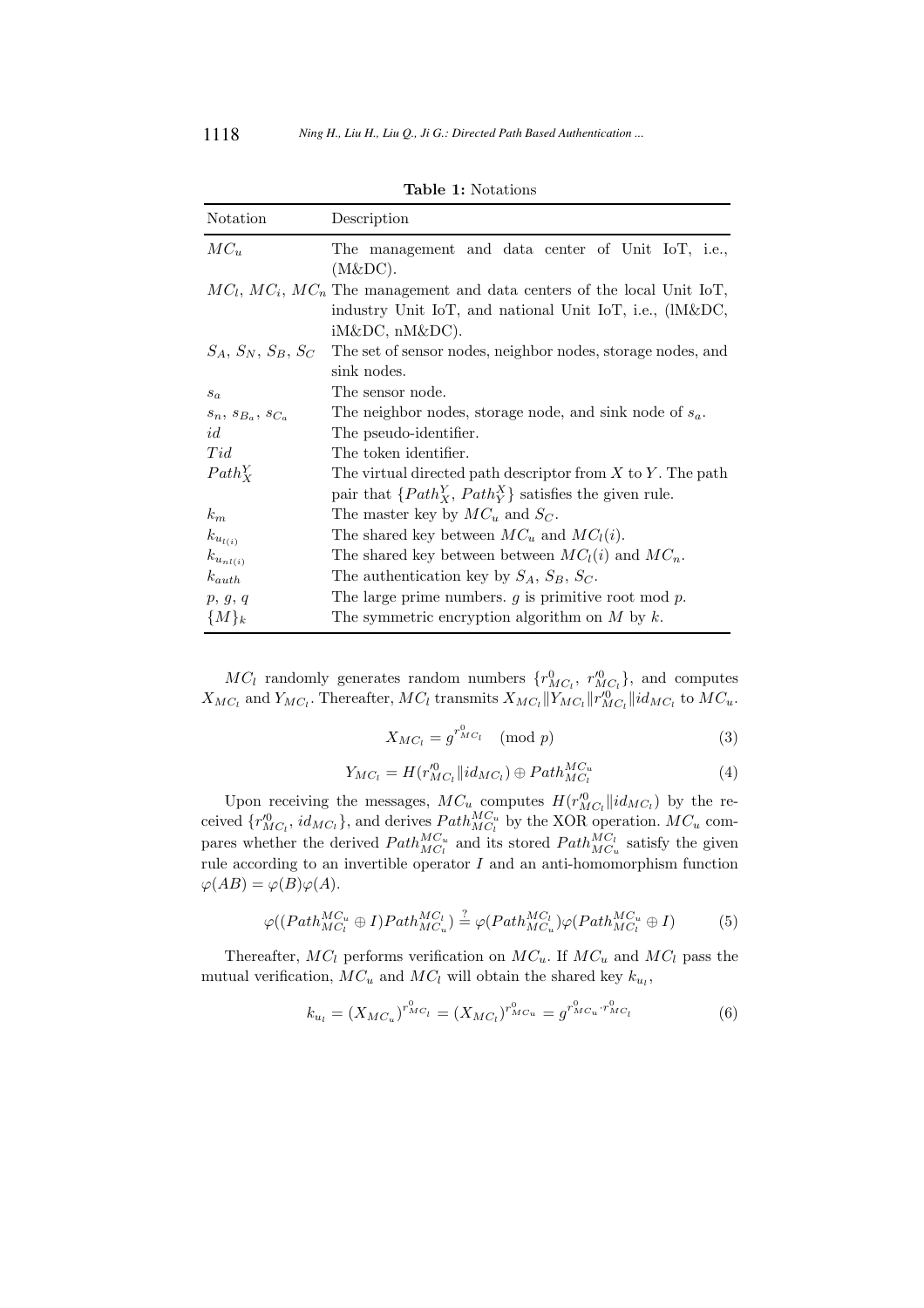| Notation                      | Description                                                                     |  |  |  |  |  |
|-------------------------------|---------------------------------------------------------------------------------|--|--|--|--|--|
| $MC_u$                        | The management and data center of Unit IoT, i.e.,                               |  |  |  |  |  |
|                               | (M&DC).                                                                         |  |  |  |  |  |
|                               | $MC_l$ , $MC_i$ , $MC_n$ The management and data centers of the local Unit IoT, |  |  |  |  |  |
|                               | industry Unit IoT, and national Unit IoT, i.e., (IM&DC,                         |  |  |  |  |  |
|                               | $iM\&DC$ , $nM\&DC$ ).                                                          |  |  |  |  |  |
| $S_A, S_N, S_B, S_C$          | The set of sensor nodes, neighbor nodes, storage nodes, and                     |  |  |  |  |  |
|                               | sink nodes.                                                                     |  |  |  |  |  |
| $s_a$                         | The sensor node.                                                                |  |  |  |  |  |
| $s_n$ , $s_{B_n}$ , $s_{C_n}$ | The neighbor nodes, storage node, and sink node of $s_a$ .                      |  |  |  |  |  |
| id                            | The pseudo-identifier.                                                          |  |  |  |  |  |
| Tid                           | The token identifier.                                                           |  |  |  |  |  |
| $Path_Y^Y$                    | The virtual directed path descriptor from $X$ to $Y$ . The path                 |  |  |  |  |  |
|                               | pair that $\{Path_X^Y, Path_Y^X\}$ satisfies the given rule.                    |  |  |  |  |  |
| $k_m$                         | The master key by $MC_u$ and $S_C$ .                                            |  |  |  |  |  |
| $k_{u_{l(i)}}$                | The shared key between $MC_u$ and $MC_l(i)$ .                                   |  |  |  |  |  |
| $k_{u_{nl(i)}}$               | The shared key between between $MCl(i)$ and $MCn$ .                             |  |  |  |  |  |
| $k_{auth}$                    | The authentication key by $S_A$ , $S_B$ , $S_C$ .                               |  |  |  |  |  |
| p, g, q                       | The large prime numbers. $g$ is primitive root mod $p$ .                        |  |  |  |  |  |
| ${M}_k$                       | The symmetric encryption algorithm on $M$ by $k$ .                              |  |  |  |  |  |

Table 1: Notations

 $MC_l$  randomly generates random numbers  $\{r_{MC_l}^0, r_{MC_l}^{\prime 0}\}$ , and computes  $X_{MC_l}$  and  $Y_{MC_l}$ . Thereafter,  $MC_l$  transmits  $X_{MC_l} || Y_{MC_l} || r_{MC_l}^{'0} || id_{MC_l}$  to  $MC_u$ .

$$
X_{MC_l} = g^{r_{MC_l}^0} \pmod{p} \tag{3}
$$

$$
Y_{MC_l} = H(r_{MC_l}^{0}||id_{MC_l}) \oplus Path_{MC_l}^{MC_u}
$$
\n
$$
\tag{4}
$$

Upon receiving the messages,  $MC_u$  computes  $H(r_{MC_l}^{\prime 0}||id_{MC_l})$  by the received  $\{r_{MC_l}^{0}, id_{MC_l}\}$ , and derives  $Path_{MC_l}^{MC_u}$  by the XOR operation.  $MC_u$  compares whether the derived  $Path_{MC_u}^{MC_u}$  and its stored  $Path_{MC_u}^{MC_l}$  satisfy the given rule according to an invertible operator  $I$  and an anti-homomorphism function  $\varphi(AB) = \varphi(B)\varphi(A).$ 

$$
\varphi((Path_{MC_l}^{MC_u} \oplus I)Path_{MC_u}^{MC_l}) \stackrel{?}{=} \varphi(Path_{MC_u}^{MC_l})\varphi(Path_{MC_l}^{MC_u} \oplus I) \tag{5}
$$

Thereafter,  $MC_l$  performs verification on  $MC_u$ . If  $MC_u$  and  $MC_l$  pass the mutual verification,  $MC_u$  and  $MC_l$  will obtain the shared key  $k_{u_l}$ ,

$$
k_{u_l} = (X_{MC_u})^{r_{MC_l}^0} = (X_{MC_l})^{r_{MC_u}^0} = g^{r_{MC_u}^0 \cdot r_{MC_l}^0} \tag{6}
$$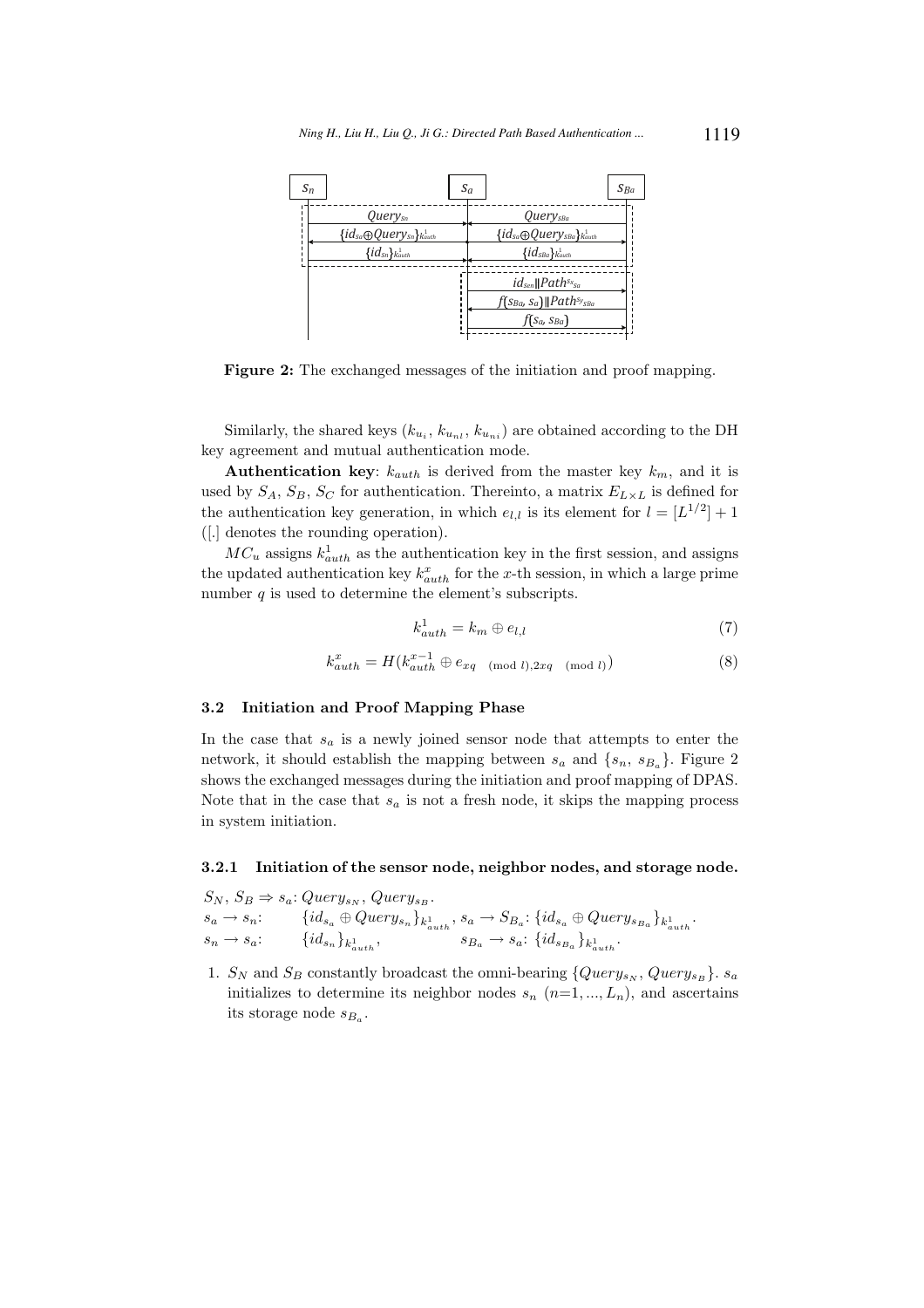

Figure 2: The exchanged messages of the initiation and proof mapping.

Similarly, the shared keys  $(k_{u_i}, k_{u_{ni}}, k_{u_{ni}})$  are obtained according to the DH key agreement and mutual authentication mode.

Authentication key:  $k_{auth}$  is derived from the master key  $k_m$ , and it is used by  $S_A$ ,  $S_B$ ,  $S_C$  for authentication. Thereinto, a matrix  $E_{L\times L}$  is defined for the authentication key generation, in which  $e_{l,l}$  is its element for  $l = [L^{1/2}] + 1$ ([.] denotes the rounding operation).

 $MC_u$  assigns  $k_{auth}^1$  as the authentication key in the first session, and assigns the updated authentication key  $k_{auth}^x$  for the x-th session, in which a large prime number  $q$  is used to determine the element's subscripts.

$$
k_{auth}^1 = k_m \oplus e_{l,l} \tag{7}
$$

$$
k_{auth}^x = H(k_{auth}^{x-1} \oplus e_{xq \pmod{l}}^{x-1}, 2xq \pmod{l}} \tag{8}
$$

#### 3.2 Initiation and Proof Mapping Phase

In the case that  $s_a$  is a newly joined sensor node that attempts to enter the network, it should establish the mapping between  $s_a$  and  $\{s_n, s_{B_a}\}\$ . Figure 2 shows the exchanged messages during the initiation and proof mapping of DPAS. Note that in the case that  $s_a$  is not a fresh node, it skips the mapping process in system initiation.

#### 3.2.1 Initiation of the sensor node, neighbor nodes, and storage node.

 $S_N$ ,  $S_B \Rightarrow s_a$ : Query<sub>sN</sub>, Query<sub>sB</sub>.

| $s_a \rightarrow s_n$ : |                                | ${id_{s_a} \oplus Query_{s_n}}_{k_{auth}^{1}}, s_a \rightarrow S_{B_a}: {id_{s_a} \oplus Query_{s_{B_a}}}_{k_{auth}^{1}}.$ |
|-------------------------|--------------------------------|----------------------------------------------------------------------------------------------------------------------------|
| $s_n \rightarrow s_a$ : | $\{id_{s_n}\}_{k_{auth}^{1}},$ | $s_{B_a} \rightarrow s_a: \{id_{s_{B_a}}\}_{k_{auth}^1}.$                                                                  |

1.  $S_N$  and  $S_B$  constantly broadcast the omni-bearing  $\{Query_{s_N}, Query_{s_B}\}\$ .  $s_a$ initializes to determine its neighbor nodes  $s_n$   $(n=1, ..., L_n)$ , and ascertains its storage node  $s_{B_a}$ .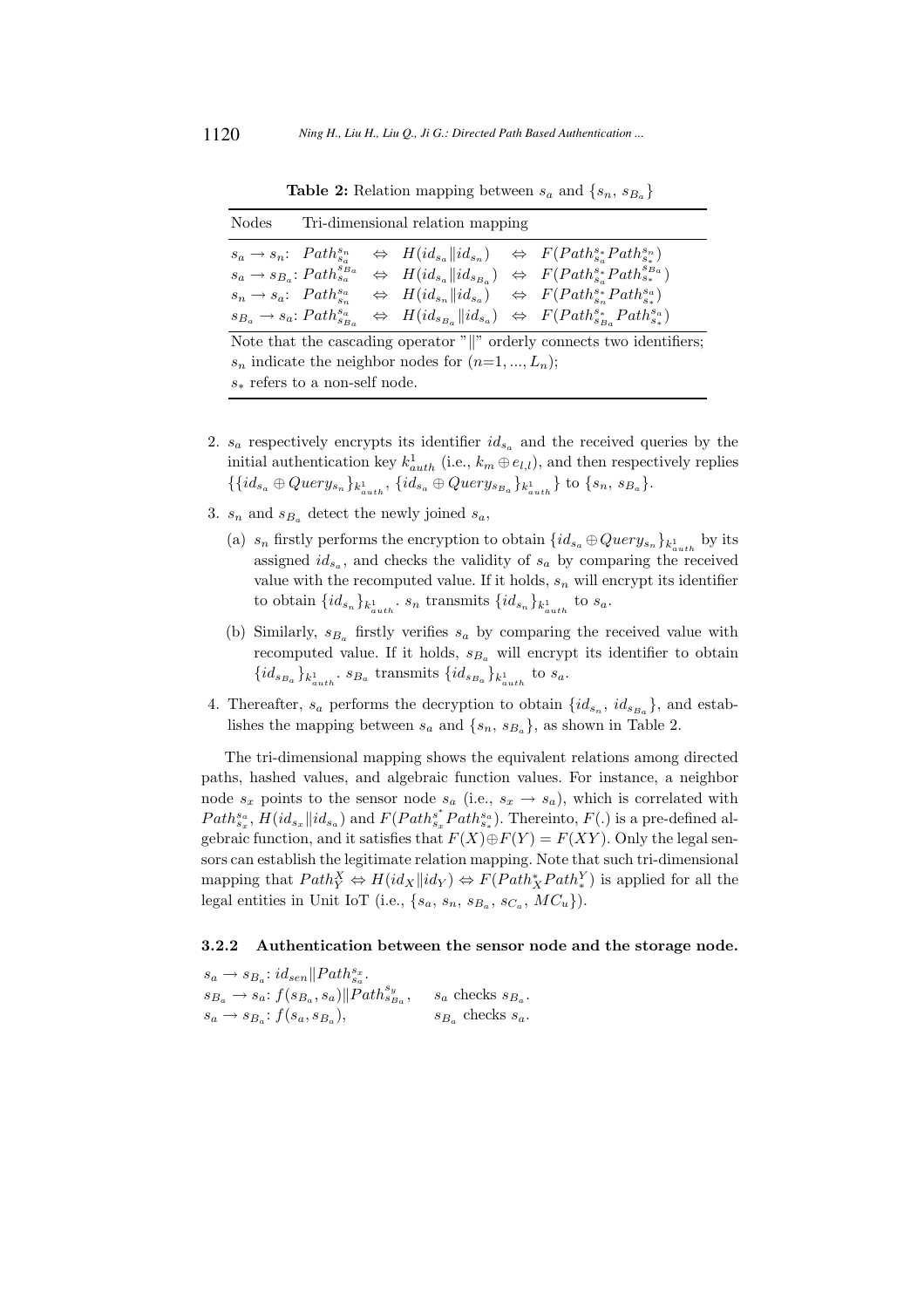**Table 2:** Relation mapping between  $s_a$  and  $\{s_n, s_{B_a}\}\$ 

| Nodes                                           | Tri-dimensional relation mapping |  |  |  |                                                                                                                                              |
|-------------------------------------------------|----------------------------------|--|--|--|----------------------------------------------------------------------------------------------------------------------------------------------|
|                                                 |                                  |  |  |  | $s_a \to s_n$ : $Path_{s_a}^{s_n} \Leftrightarrow H(id_{s_a}  id_{s_n}) \Leftrightarrow F(Path_{s_a}^{s_a}Path_{s_a}^{s_n})$                 |
| $s_a \rightarrow s_{B_a}: Path_{s_a}^{s_{B_a}}$ |                                  |  |  |  | $\Leftrightarrow$ $H(id_{s_a}  id_{s_{B_a}}) \Leftrightarrow$ $F(Path_{s_a}^{s_a}Path_{s_a}^{s_{B_a}})$                                      |
|                                                 |                                  |  |  |  | $s_n \to s_a$ : $Path_{s_n}^{s_a} \Leftrightarrow H(id_{s_n}  id_{s_a}) \Leftrightarrow F(Path_{s_n}^{s_a}Path_{s_n}^{s_a})$                 |
|                                                 |                                  |  |  |  | $s_{B_a} \to s_a$ : $Path_{s_{B_a}}^{s_a} \Leftrightarrow H(id_{s_{B_a}}  id_{s_a}) \Leftrightarrow F(Path_{s_{B_a}}^{s_*}Path_{s_*}^{s_a})$ |

Note that the cascading operator  $\mathbb{R}^n$  orderly connects two identifiers;  $s_n$  indicate the neighbor nodes for  $(n=1, ..., L_n);$  $s_*$  refers to a non-self node.

- 2.  $s_a$  respectively encrypts its identifier  $id_{s_a}$  and the received queries by the initial authentication key  $k_{auth}^1$  (i.e.,  $k_m \oplus e_{l,l}$ ), and then respectively replies  $\{ \{ id_{s_a} \oplus Query_{s_n} \}_{k_{auth}^1}, \{ id_{s_a} \oplus Query_{s_{Ba}} \}_{k_{auth}^1} \} \text{ to } \{ s_n, s_{Ba} \}.$
- 3.  $s_n$  and  $s_{B_a}$  detect the newly joined  $s_a$ ,
	- (a)  $s_n$  firstly performs the encryption to obtain  $\{id_{s_a} \oplus Query_{s_n}\}_{k_{auth}^1}$  by its assigned  $id_{s_a}$ , and checks the validity of  $s_a$  by comparing the received value with the recomputed value. If it holds,  $s_n$  will encrypt its identifier to obtain  $\{id_{s_n}\}_{k_{auth}^1}$ .  $s_n$  transmits  $\{id_{s_n}\}_{k_{auth}^1}$  to  $s_a$ .
	- (b) Similarly,  $s_{B_a}$  firstly verifies  $s_a$  by comparing the received value with recomputed value. If it holds,  $s_{B_a}$  will encrypt its identifier to obtain  $\{id_{s_{B_a}}\}_{k_{auth}^1}$ .  $s_{B_a}$  transmits  $\{id_{s_{B_a}}\}_{k_{auth}^1}$  to  $s_a$ .
- 4. Thereafter,  $s_a$  performs the decryption to obtain  $\{id_{s_n}, id_{s_{B_a}}\}$ , and establishes the mapping between  $s_a$  and  $\{s_n, s_{B_a}\}\$ , as shown in Table 2.

The tri-dimensional mapping shows the equivalent relations among directed paths, hashed values, and algebraic function values. For instance, a neighbor node  $s_x$  points to the sensor node  $s_a$  (i.e.,  $s_x \rightarrow s_a$ ), which is correlated with  $Path^{\hat{s}_a}_{s_x}, \, \overline{H}(id_{s_x} \| id_{s_a})$  and  $F(Path^{\hat{s}^*}_{s_x})$  $s_{s_x}^{s*}Path_{s_*}^{s_a}$ ). Thereinto,  $F(.)$  is a pre-defined algebraic function, and it satisfies that  $F(X) \oplus F(Y) = F(XY)$ . Only the legal sensors can establish the legitimate relation mapping. Note that such tri-dimensional mapping that  $Path_Y^X \Leftrightarrow H(id_X||id_Y) \Leftrightarrow F(Path_X^*Path_Y^Y)$  is applied for all the legal entities in Unit IoT (i.e.,  $\{s_a, s_n, s_{B_a}, s_{C_a}, MC_u\}$ ).

#### 3.2.2 Authentication between the sensor node and the storage node.

 $s_a \rightarrow s_{B_a}: id_{sen} || Path^{s_x}_{s_a}.$  $s_{B_a} \rightarrow s_a: f(s_{B_a}, s_a) || \rho_{at} h_{s_{B_a}}^{s_y}, \quad s_a$  checks  $s_{B_a}$ .  $s_a \rightarrow s_{B_a}: f(s_a, s_{B_a})$  $s_{B_a}$  checks  $s_a$ .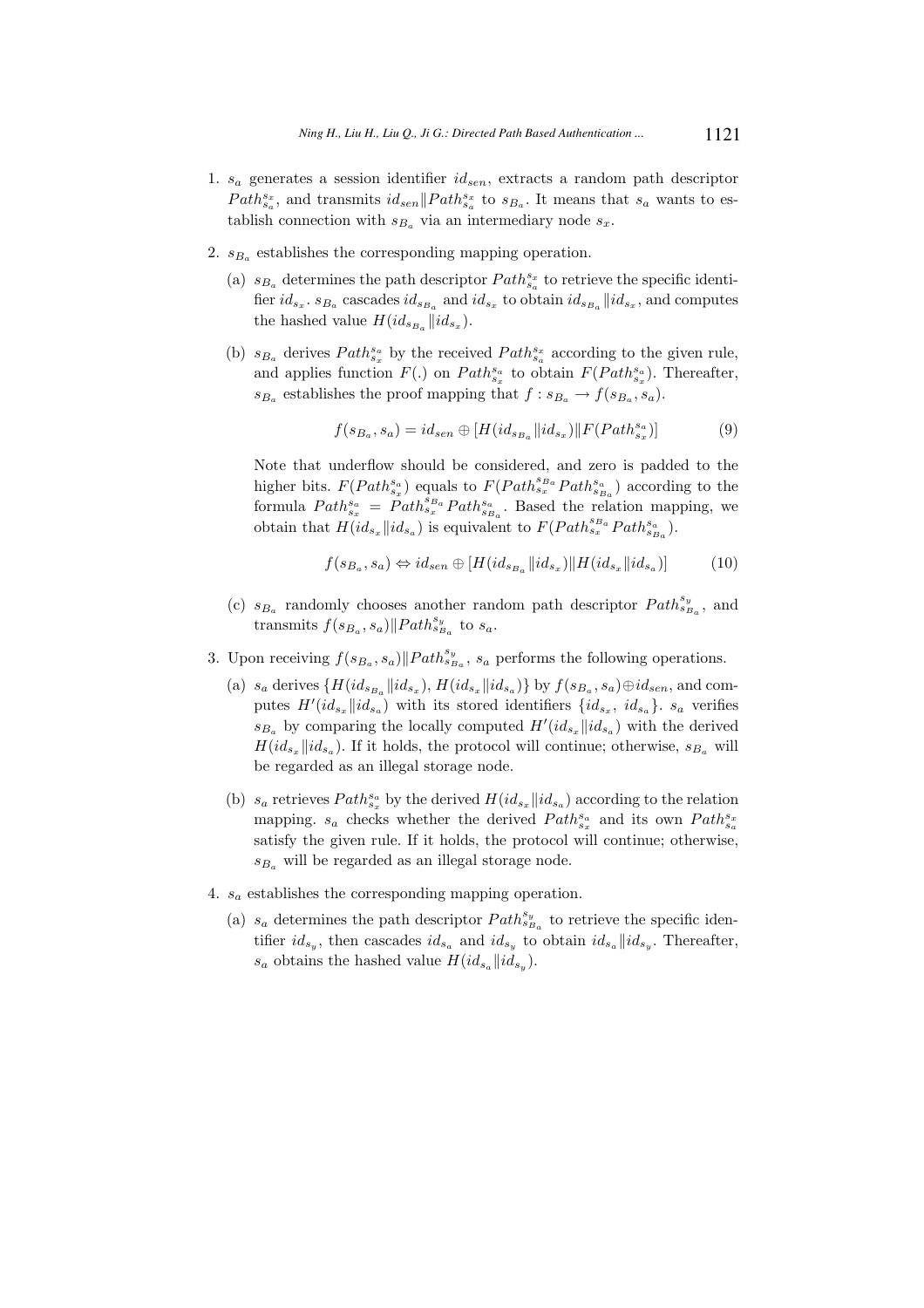- 1.  $s_a$  generates a session identifier  $id_{sen}$ , extracts a random path descriptor  $Path_{s_a}^{s_x}$ , and transmits  $id_{sen}$ || $Path_{s_a}^{s_x}$  to  $s_{B_a}$ . It means that  $s_a$  wants to establish connection with  $s_{B_a}$  via an intermediary node  $s_x$ .
- 2.  $s_{B_a}$  establishes the corresponding mapping operation.
	- (a)  $s_{B_a}$  determines the path descriptor  $Path_{s_a}^{s_x}$  to retrieve the specific identifier  $id_{s_x}$ .  $s_{B_a}$  cascades  $id_{s_{B_a}}$  and  $id_{s_x}$  to obtain  $id_{s_{B_a}}$  || $id_{s_x}$ , and computes the hashed value  $H(id_{s_{B_a}}||id_{s_x}).$
	- (b)  $s_{B_a}$  derives  $Path_{s_x}^{s_a}$  by the received  $Path_{s_a}^{s_x}$  according to the given rule, and applies function  $F(.)$  on  $Path_{s_x}^{s_a}$  to obtain  $F(Path_{s_x}^{s_a})$ . Thereafter,  $s_{B_a}$  establishes the proof mapping that  $f : s_{B_a} \to f(s_{B_a}, s_a)$ .

$$
f(s_{B_a}, s_a) = id_{sen} \oplus [H(id_{s_{B_a}}||id_{s_x}) || F(Path_{s_x}^{s_a})]
$$
(9)

Note that underflow should be considered, and zero is padded to the higher bits.  $F(Path_{s_x}^{s_a})$  equals to  $F(Path_{s_x}^{s_{B_a}}Path_{s_{B_a}}^{s_a})$  according to the formula  $Path_{s_x}^{s_a} = Path_{s_x}^{s_{B_a}}Path_{s_{B_a}}^{s_a}$ . Based the relation mapping, we obtain that  $H(id_{s_x}||id_{s_a})$  is equivalent to  $F(Path_{s_x}^{s_{B_a}}Path_{s_{B_a}}^{s_a}).$ 

$$
f(s_{B_a}, s_a) \Leftrightarrow id_{sen} \oplus [H(id_{s_{B_a}}||id_{s_x}) || H(id_{s_x}||id_{s_a})]
$$
(10)

- (c)  $s_{B_a}$  randomly chooses another random path descriptor  $Path_{s_{B_a}}^{s_y}$ , and transmits  $f(s_{B_a}, s_a)$ ||Path<sup>sy</sup><sub>a</sub> to s<sub>a</sub>.
- 3. Upon receiving  $f(s_{B_a}, s_a) || Path_{s_{B_a}}^{s_y}, s_a$  performs the following operations.
	- (a)  $s_a$  derives  $\{H(id_{s_{B_a}}||id_{s_x}), H(id_{s_x}||id_{s_a})\}$  by  $f(s_{B_a}, s_a) \oplus id_{sen}$ , and computes  $H'(id_{s_x}||id_{s_a})$  with its stored identifiers  $\{id_{s_x}, id_{s_a}\}$ .  $s_a$  verifies  $s_{B_a}$  by comparing the locally computed  $H'(id_{s_x}||id_{s_a})$  with the derived  $H(id_{s_x}||id_{s_a})$ . If it holds, the protocol will continue; otherwise,  $s_{B_a}$  will be regarded as an illegal storage node.
	- (b)  $s_a$  retrieves  $Path_{s_x}^{s_a}$  by the derived  $H(id_{s_x}||id_{s_a})$  according to the relation mapping.  $s_a$  checks whether the derived  $Path_{s_a}^{s_a}$  and its own  $Path_{s_a}^{s_x}$ satisfy the given rule. If it holds, the protocol will continue; otherwise,  $s_{B_a}$  will be regarded as an illegal storage node.
- 4.  $s_a$  establishes the corresponding mapping operation.
	- (a)  $s_a$  determines the path descriptor  $Path_{s_{B_a}}^{s_y}$  to retrieve the specific identifier  $id_{s_y}$ , then cascades  $id_{s_a}$  and  $id_{s_y}$  to obtain  $id_{s_a}||id_{s_y}$ . Thereafter,  $s_a$  obtains the hashed value  $H(id_{s_a}||id_{s_y}).$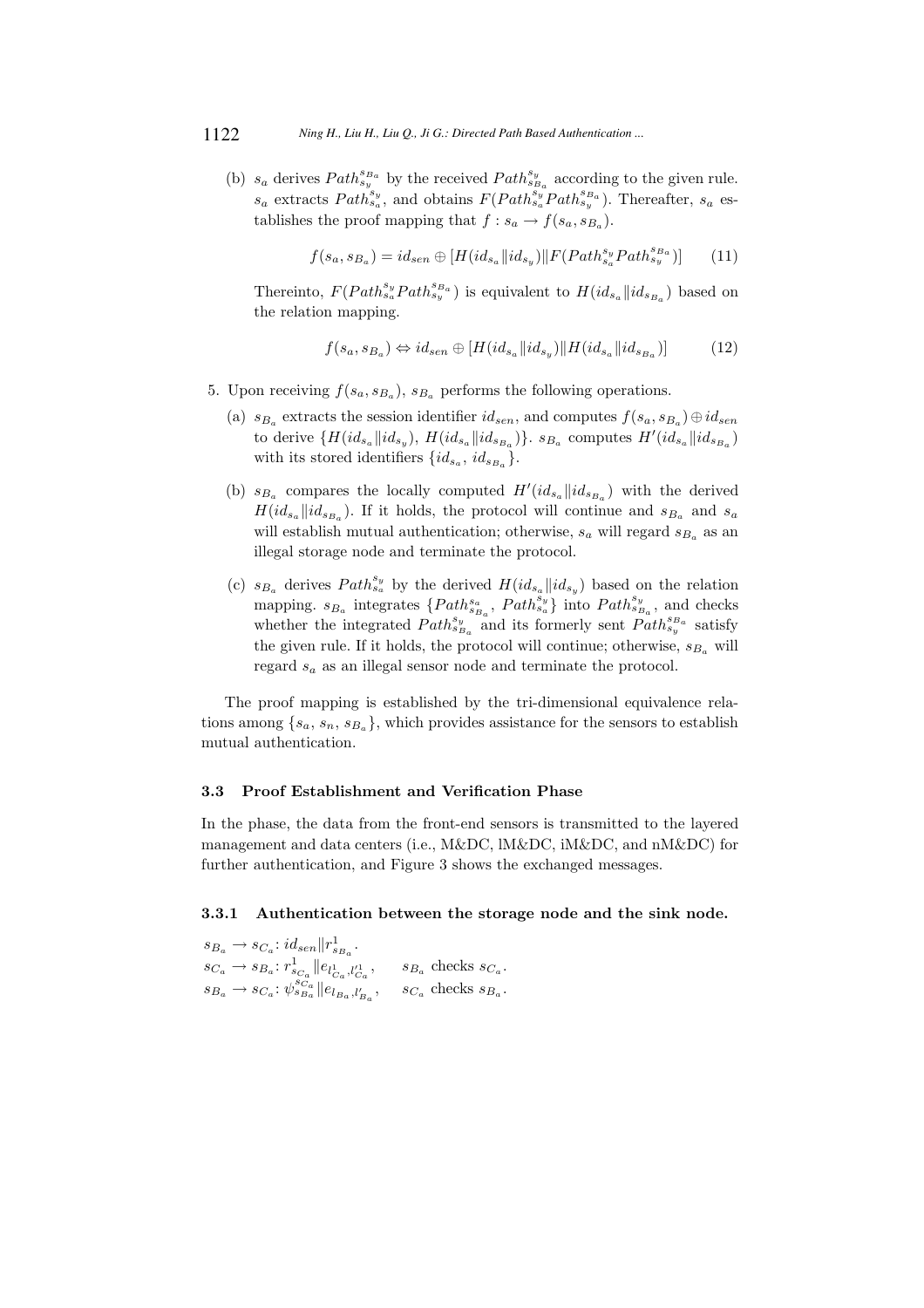(b)  $s_a$  derives  $Path_{s_y}^{s_{B_a}}$  by the received  $Path_{s_{B_a}}^{s_y}$  according to the given rule.  $s_a$  extracts  $Path_{s_a}^{s_y}$ , and obtains  $F(Path_{s_a}^{s_y}Path_{s_y}^{s_{B_a}})$ . Thereafter,  $s_a$  establishes the proof mapping that  $f : s_a \to f(s_a, s_{B_a})$ .

$$
f(s_a, s_{Ba}) = id_{sen} \oplus [H(id_{s_a}||id_{s_y}) || F(Path_{s_a}^{s_y}Path_{s_y}^{s_{Ba}})] \tag{11}
$$

Thereinto,  $F(Path_{s_a}^{s_y}Path_{s_y}^{s_{Ba}})$  is equivalent to  $H(id_{s_a}||id_{s_{Ba}})$  based on the relation mapping.

$$
f(s_a, s_{B_a}) \Leftrightarrow id_{sen} \oplus [H(id_{s_a}||id_{s_y}) || H(id_{s_a}||id_{s_{B_a}})] \tag{12}
$$

- 5. Upon receiving  $f(s_a, s_{B_a})$ ,  $s_{B_a}$  performs the following operations.
	- (a)  $s_{B_a}$  extracts the session identifier  $id_{sen}$ , and computes  $f(s_a, s_{B_a}) \oplus id_{sen}$ to derive  $\{H(id_{s_a}||id_{s_y}),\ H(id_{s_a}||id_{s_{B_a}})\}$ .  $s_{B_a}$  computes  $H'(id_{s_a}||id_{s_{B_a}})$ with its stored identifiers  $\{id_{s_a}, id_{s_{B_a}}\}.$
	- (b)  $s_{B_a}$  compares the locally computed  $H'(id_{s_a}||id_{s_{B_a}})$  with the derived  $H(id_{s_a}||id_{s_{B_a}})$ . If it holds, the protocol will continue and  $s_{B_a}$  and  $s_a$ will establish mutual authentication; otherwise,  $s_a$  will regard  $s_{B_a}$  as an illegal storage node and terminate the protocol.
	- (c)  $s_{B_a}$  derives  $Path_{s_a}^{s_y}$  by the derived  $H(id_{s_a}||id_{s_y})$  based on the relation mapping.  $s_{B_a}$  integrates  $\{Path_{s_{B_a}}^{s_a}, Path_{s_a}^{\overline{s}_y}\}$  into  $Path_{s_{B_a}}^{s_y}$ , and checks whether the integrated  $Path_{s_{B_a}}^{s_y}$  and its formerly sent  $Path_{s_y}^{s_{B_a}}$  satisfy the given rule. If it holds, the protocol will continue; otherwise,  $s_{B_a}$  will regard  $s_a$  as an illegal sensor node and terminate the protocol.

The proof mapping is established by the tri-dimensional equivalence relations among  $\{s_a, s_n, s_{B_a}\}\$ , which provides assistance for the sensors to establish mutual authentication.

#### 3.3 Proof Establishment and Verification Phase

In the phase, the data from the front-end sensors is transmitted to the layered management and data centers (i.e., M&DC, lM&DC, iM&DC, and nM&DC) for further authentication, and Figure 3 shows the exchanged messages.

### 3.3.1 Authentication between the storage node and the sink node.

 $s_{B_a} \rightarrow s_{C_a}: id_{sen} \|r^1_{s_{B_a}}.$  $s_{Ba}$  $s_{C_a} \rightarrow s_{B_a}: r_{s_{C_a}}^1 || e_{l_{C_a}^1, l_{C_a}^1}$ <br>  $s_{B_a} \rightarrow s_{C_a}: \psi_{s_{B_a}}^{s_{C_a}} || e_{l_{B_a}, l_{B_a}^{\prime}}$ ,  $s_{B_a}$  checks  $s_{C_a}$ . ,  $s_{C_a}$  checks  $s_{B_a}$ .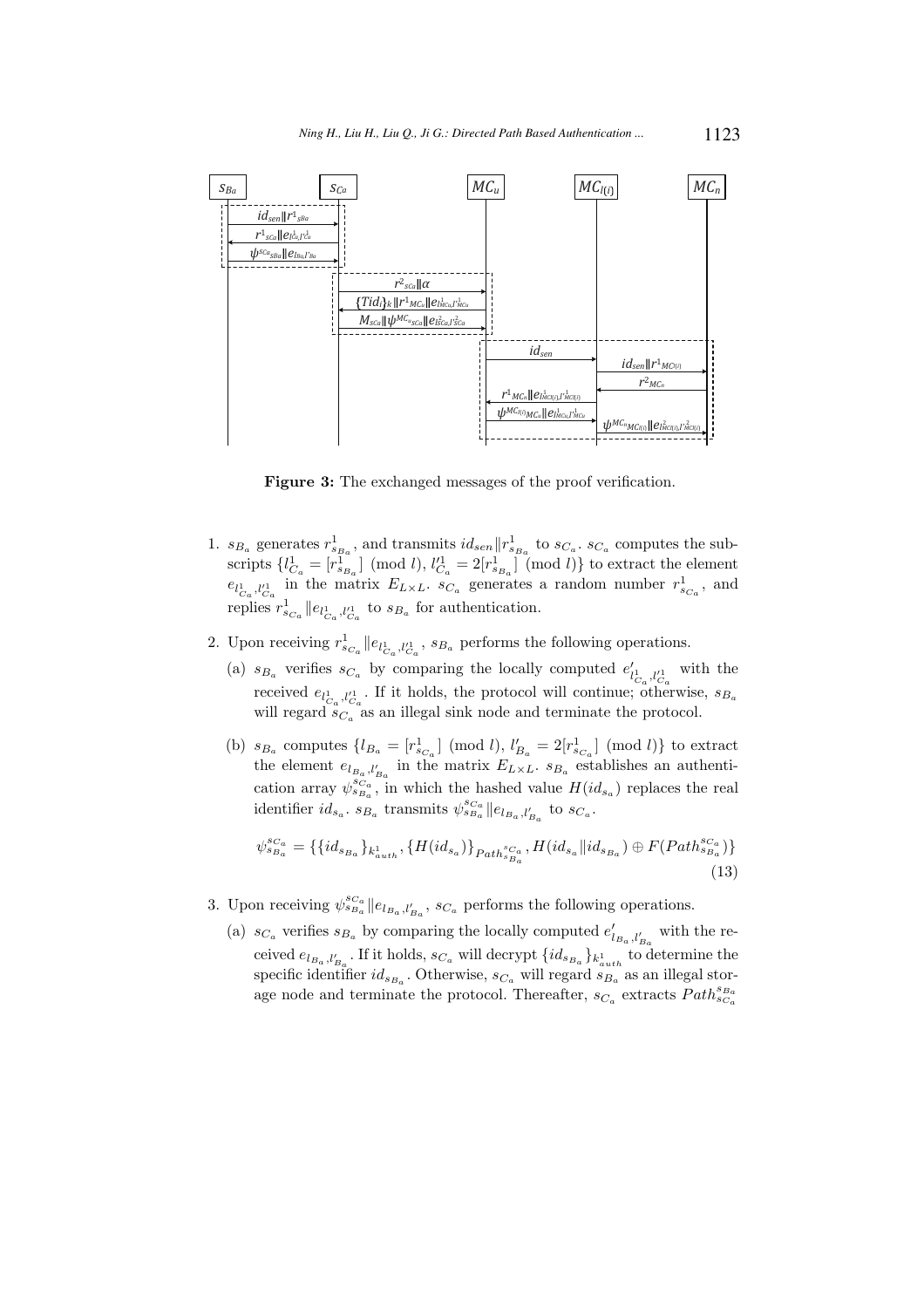

Figure 3: The exchanged messages of the proof verification.

- 1.  $s_{B_a}$  generates  $r_{s_{B_a}}^1$ , and transmits  $id_{sen} || r_{s_{B_a}}^1$  to  $s_{C_a}$ .  $s_{C_a}$  computes the subscripts  $\{l_{C_a}^1 = [r_{s_{B_a}}^1] \pmod{l}, l_{C_a}^{\prime 1} = 2[r_{s_{B_a}}^1] \pmod{l}\}$  to extract the element  $e_{l_{C_a},l'_{C_a}}$  in the matrix  $E_{L\times L}$ .  $s_{C_a}$  generates a random number  $r_{s_{C_a}}^1$ , and replies  $r_{s_{C_a}}^1 || e_{l_{C_a}^1, l_{C_a}^1}$  to  $s_{B_a}$  for authentication.
- 2. Upon receiving  $r_{s_{C_a}}^1 || e_{l_{C_a}^1, l_{C_a}^1}$ ,  $s_{B_a}$  performs the following operations.
	- (a)  $s_{B_a}$  verifies  $s_{C_a}$  by comparing the locally computed  $e'_{l_{C_a},l'_{C_a}}$  with the received  $e_{l_{C_a}^1,l_{C_a}^1}$ . If it holds, the protocol will continue; otherwise,  $s_{B_a}$ will regard  $s_{C_a}^{a}$  as an illegal sink node and terminate the protocol.
	- (b)  $s_{B_a}$  computes  $\{l_{B_a} = [r_{s_{C_a}}^1] \pmod{l}, l'_{B_a} = 2[r_{s_{C_a}}^1] \pmod{l}\}$  to extract the element  $e_{l_{B_a},l'_{B_a}}$  in the matrix  $E_{L\times L}$ .  $s_{B_a}$  establishes an authentication array  $\psi_{s_{Ba}}^{s_{Ca}}$ , in which the hashed value  $H(id_{s_a})$  replaces the real identifier  $id_{s_a}$ .  $s_{B_a}$  transmits  $\psi_{s_{B_a}}^{s_{C_a}}||e_{l_{B_a},l'_{B_a}}$  to  $s_{C_a}$ .

$$
\psi_{s_{B_a}}^{s_{C_a}} = \{ \{id_{s_{B_a}}\}_{k_{auth}^1}, \{H(id_{s_a})\}_{Path_{s_{B_a}}^{s_{C_a}}}, H(id_{s_a}||id_{s_{B_a}}) \oplus F(Path_{s_{B_a}}^{s_{C_a}}) \}
$$
\n(13)

- 3. Upon receiving  $\psi_{s_{B_a}}^{s_{C_a}}||e_{l_{B_a},l'_{B_a}}, s_{C_a}$  performs the following operations.
	- (a)  $s_{C_a}$  verifies  $s_{B_a}$  by comparing the locally computed  $e'_{l_{B_a},l'_{B_a}}$  with the received  $e_{l_{B_a},l'_{B_a}}$ . If it holds,  $s_{C_a}$  will decrypt  $\{id_{s_{B_a}}\}_{k_{auth}^1}$  to determine the specific identifier  $id_{s_{B_a}}$ . Otherwise,  $s_{C_a}$  will regard  $s_{B_a}$  as an illegal storage node and terminate the protocol. Thereafter,  $s_{C_a}$  extracts  $Path_{s_{C_a}}^{s_{B_a}}$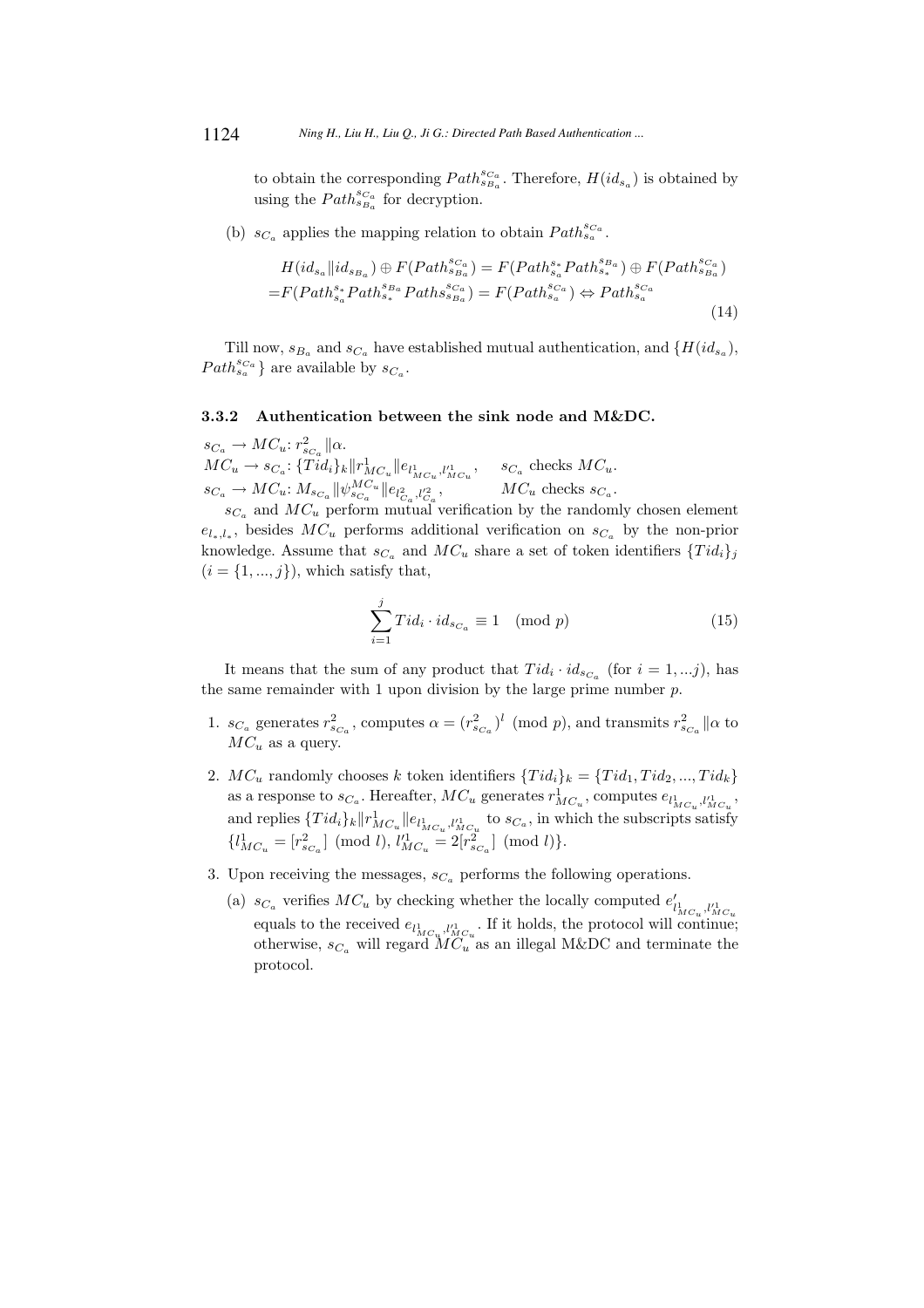to obtain the corresponding  $Path_{s_{Ba}}^{s_{Ca}}$ . Therefore,  $H(id_{s_a})$  is obtained by using the  $Path_{s_{Ba}}^{s_{Ca}}$  for decryption.

(b)  $s_{C_a}$  applies the mapping relation to obtain  $Path_{s_a}^{s_{C_a}}$ .

$$
H(id_{s_a}||id_{s_{Ba}}) \oplus F(Path_{s_{Ba}}^{s_{Ca}}) = F(Path_{s_a}^{s*}Path_{s_a}^{s_{Ba}}) \oplus F(Path_{s_{Ba}}^{s_{Ca}})
$$

$$
= F(Path_{s_a}^{s*}Path_{s_a}^{s_{Ba}}Path_{s_{Ba}}^{s_{Ca}}) = F(Path_{s_a}^{s_{Ca}}) \Leftrightarrow Path_{s_a}^{s_{Ca}}
$$
(14)

Till now,  $s_{B_a}$  and  $s_{C_a}$  have established mutual authentication, and  $\{H(id_{s_a})\}$ ,  $Path_{s_a}^{s_{Ca}}$ } are available by  $s_{Ca}$ .

## 3.3.2 Authentication between the sink node and M&DC.

 $s_{C_a} \to MC_u$ :  $r_{s_{C_a}}^2 || \alpha$ .  $MC_u \to s_{C_a}: \{Tid_i\}_k \|r^1_{MC_u} \|e_{l^1_{MC_u}, l'^1_{MC_u}}, \quad s_{C_a} \text{ checks } MC_u.$  $s_{C_a} \to MC_u$ :  $M_{s_{C_a}} || \psi_{s_{C_a}}^{MC_u} || e_{l_{C_a}^2, l_{C_a}^2}$ ,  $MC_u$  checks  $s_{C_a}$ .

 $s_{C_a}$  and  $MC_u$  perform mutual verification by the randomly chosen element  $e_{l_*l_*}$ , besides  $MC_u$  performs additional verification on  $s_{C_a}$  by the non-prior knowledge. Assume that  $s_{C_a}$  and  $MC_u$  share a set of token identifiers  $\{Tid_i\}_j$  $(i = \{1, ..., j\})$ , which satisfy that,

$$
\sum_{i=1}^{j} Tid_i \cdot id_{s_{C_a}} \equiv 1 \pmod{p} \tag{15}
$$

It means that the sum of any product that  $Tid_i \cdot id_{s_{C_a}}$  (for  $i = 1,...j$ ), has the same remainder with 1 upon division by the large prime number  $p$ .

- 1.  $s_{C_a}$  generates  $r_{s_{C_a}}^2$ , computes  $\alpha = (r_{s_{C_a}}^2)^l$  (mod p), and transmits  $r_{s_{C_a}}^2 || \alpha$  to  $MC_u$  as a query.
- 2.  $MC_u$  randomly chooses k token identifiers  $\{Tid_i\}_k = \{Tid_1, Tid_2, ..., Tid_k\}$ as a response to  $s_{C_a}$ . Hereafter,  $MC_u$  generates  $r^1_{MC_u}$ , computes  $e_{l^1_{MC_u},l'^1_{MC_u}}$ , and replies  $\{Tid_i\}_k \|r^1_{MC_u} \|e_{l^1_{MC_u}, l'^1_{MC_u}}$  to  $s_{C_a}$ , in which the subscripts satisfy  $\{l_{MC_u}^1 = [r_{s_{Ca}}^2] \pmod{l}, l_{MC_u}^1 = 2[r_{s_{Ca}}^2] \pmod{l}\}.$
- 3. Upon receiving the messages,  $s_{C_a}$  performs the following operations.
	- (a)  $s_{C_a}$  verifies  $MC_u$  by checking whether the locally computed  $e'_{l_{MC_u},l_{MC_u}^1}$ equals to the received  $e_{l_{MC_u}^1, l_{MC_u}^1}$ . If it holds, the protocol will continue; otherwise,  $s_{C_a}$  will regard  $MC_u$  as an illegal M&DC and terminate the protocol.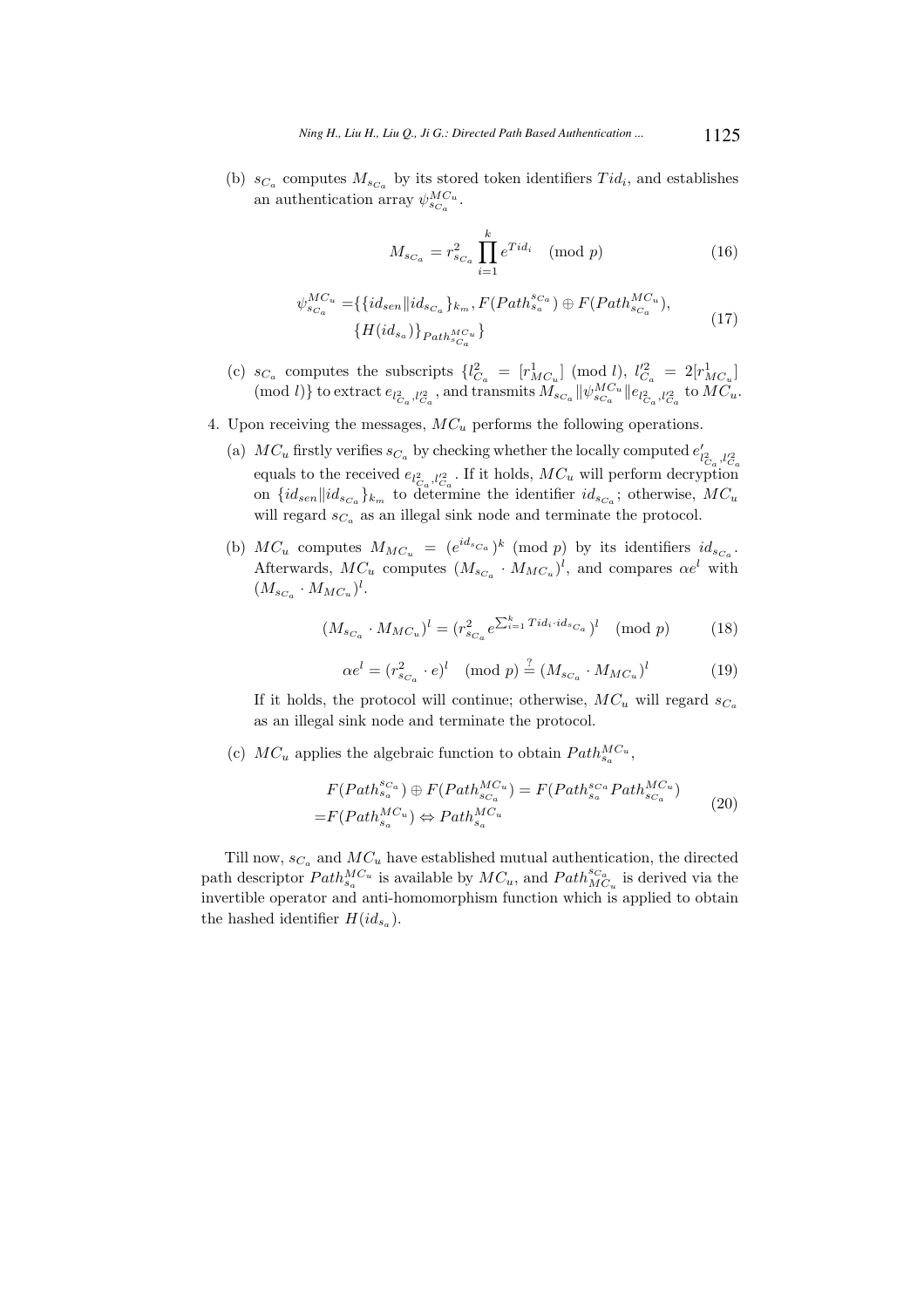(b)  $s_{C_a}$  computes  $M_{s_{C_a}}$  by its stored token identifiers  $Tid_i$ , and establishes an authentication array  $\psi_{sC_a}^{MC_u}$ .

$$
M_{s_{C_a}} = r_{s_{C_a}}^2 \prod_{i=1}^k e^{Tid_i} \pmod{p}
$$
 (16)

$$
\psi_{s_{C_a}}^{MC_u} = \{ \{id_{sen} \| id_{s_{C_a}} \}_{k_m}, F(Path_{s_a}^{s_{C_a}}) \oplus F(Path_{s_{C_a}}^{MC_u}), \{H(id_{s_a})\}_{Path_{s_{C_a}}^{MC_u}} \}
$$
(17)

- (c)  $s_{C_a}$  computes the subscripts  $\{l_{C_a}^2 = [r_{MC_u}^1] \pmod{l}, l_{C_a}^2 = 2[r_{MC_u}^1]$ (mod l)} to extract  $e_{l_{C_a}^2,l_{C_a}^2}$ , and transmits  $M_{s_{C_a}} || \psi_{s_{C_a}}^{MC_u} || e_{l_{C_a}^2,l_{C_a}^2}$  to  $MC_u$ .
- 4. Upon receiving the messages,  $MC_u$  performs the following operations.
	- (a)  $MC_u$  firstly verifies  $s_{C_a}$  by checking whether the locally computed  $e'_{l^2_{C_a},l'^2_{C_a}}$ equals to the received  $e_{l_{Ca}^2,l_{Ca}^2}$ . If it holds,  $MC_u$  will perform decryption on  $\{id_{sen} \| id_{sc_a}\}_{k_m}$  to determine the identifier  $id_{sc_a}$ ; otherwise,  $MC_u$ will regard  $s_{C_a}$  as an illegal sink node and terminate the protocol.
	- (b)  $MC_u$  computes  $M_{MC_u} = (e^{id_{sC_a}})^k \pmod{p}$  by its identifiers  $id_{sC_a}$ . Afterwards,  $MC_u$  computes  $(M_{sC_u} \cdot M_{MC_u})^l$ , and compares  $\alpha e^l$  with  $(M_{s_{C_a}} \cdot M_{MC_u})^l$ .

$$
(M_{s_{C_a}} \cdot M_{MC_u})^l = (r_{s_{C_a}}^2 e^{\sum_{i=1}^k T i d_i \cdot id_{s_{C_a}}})^l \pmod{p} \tag{18}
$$

$$
\alpha e^l = (r_{s_{Ca}}^2 \cdot e)^l \pmod{p} \stackrel{?}{=} (M_{s_{Ca}} \cdot M_{MC_u})^l \tag{19}
$$

If it holds, the protocol will continue; otherwise,  $MC_u$  will regard  $s_{C_a}$ as an illegal sink node and terminate the protocol.

(c)  $MC_u$  applies the algebraic function to obtain  $Path_{s_a}^{MC_u}$ ,

$$
F(Path_{s_a}^{s_{Ca}}) \oplus F(Path_{s_{Ca}}^{MC_u}) = F(Path_{s_a}^{s_{Ca}}Path_{s_{Ca}}^{MC_u})
$$
  
= 
$$
F(Path_{s_a}^{MC_u}) \Leftrightarrow Path_{s_a}^{MC_u}
$$
 (20)

Till now,  $s_{C_a}$  and  $MC_u$  have established mutual authentication, the directed path descriptor  $Path_{s_a}^{MC_u}$  is available by  $MC_u$ , and  $Path_{MC_u}^{sc_a}$  is derived via the invertible operator and anti-homomorphism function which is applied to obtain the hashed identifier  $H(id_{s_a})$ .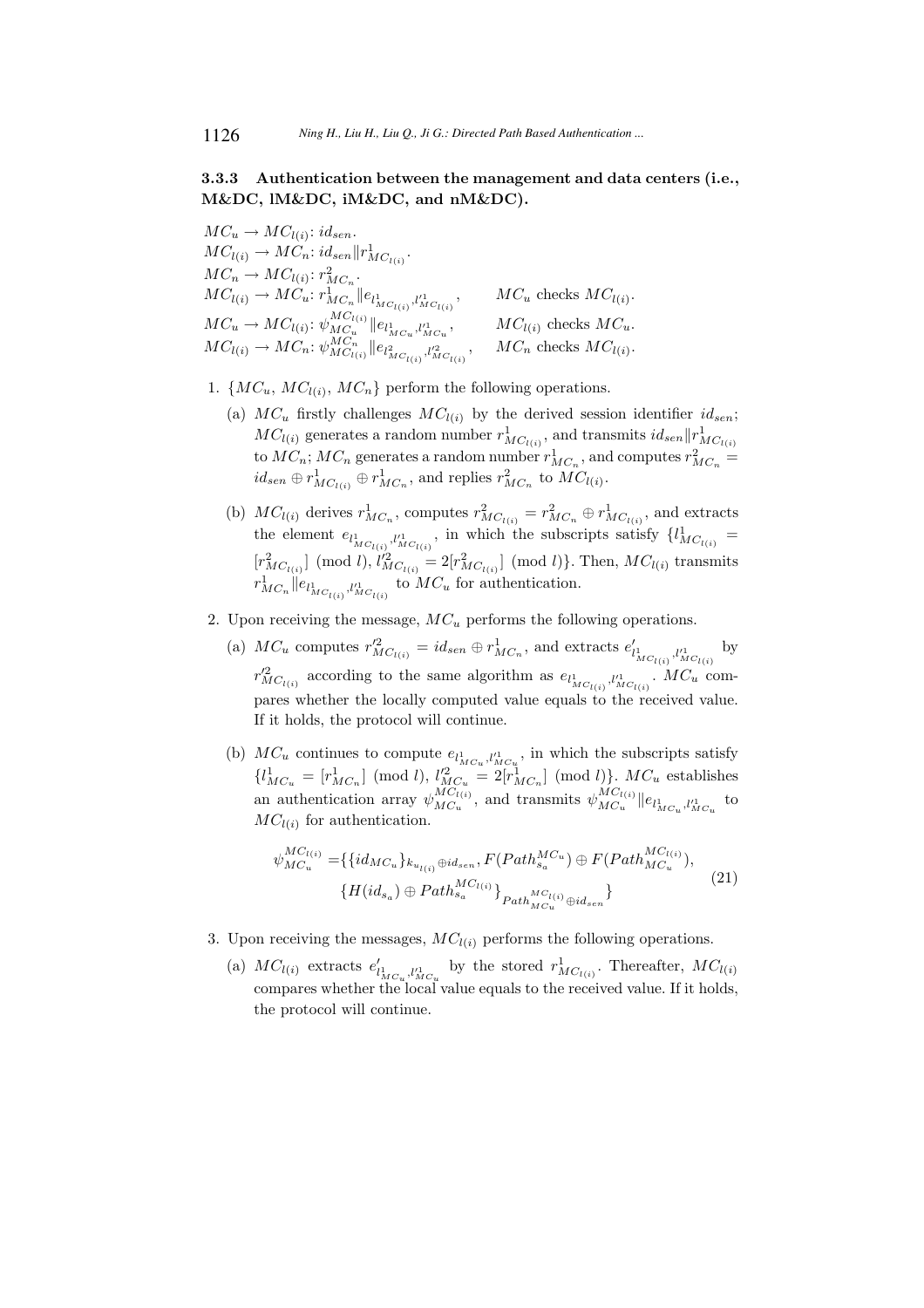## 3.3.3 Authentication between the management and data centers (i.e., M&DC, lM&DC, iM&DC, and nM&DC).

 $MC_u \rightarrow MC_{l(i)}$ : id<sub>sen</sub>.  $MC_{l(i)} \to MC_n$ :  $id_{sen} || r^1_{MC_{l(i)}}$ .  $MC_n \to MC_{l(i)}$ :  $r_{MC_n}^2$ .  $MC_{l(i)} \to MC_u$ :  $r^1_{MC_n}$   $\|e_{l^1_{MC_{l(i)}}}, l'^1_{MC_{l(i)}}$  $, \qquad MC_u$  checks  $MC_{l(i)}$ .  $MC_u \rightarrow MC_{l(i)}$ :  $\psi_{MC_u}^{MC_{l(i)}}$  $MC_u \rightarrow MC_{l(i)}$  :  $\psi_{MC_u}^{MC_{l(i)}} || e_{l_{MC_u}^1,l_{MC_u}^1}, \ M C_{l(i)} \rightarrow MC_n$  :  $\psi_{MC_{l(i)}}^{MC_n} || e_{l_{MC_{l(i)}}^2,l_{MC_{l(i)}}^2}$  $MC_{l(i)}$  checks  $MC_u$ . ,  $MC_n$  checks  $MC_{l(i)}$ .

1.  $\{MC_u, MC_{l(i)}, MC_n\}$  perform the following operations.

- (a)  $MC_u$  firstly challenges  $MC_{l(i)}$  by the derived session identifier  $id_{sen}$ ;  $MC_{l(i)}$  generates a random number  $r^1_{MC_{l(i)}},$  and transmits  $id_{sen} || r^1_{MC_{l(i)}}$ to  $MC_n$ ;  $MC_n$  generates a random number  $r^1_{MC_n}$ , and computes  $r^2_{MC_n}$  =  $id_{sen} \oplus r^1_{MC_{l(i)}} \oplus r^1_{MC_n}$ , and replies  $r^2_{MC_n}$  to  $MC_{l(i)}$ .
- (b)  $MC_{l(i)}$  derives  $r^1_{MC_n}$ , computes  $r^2_{MC_{l(i)}} = r^2_{MC_n} \oplus r^1_{MC_{l(i)}}$ , and extracts the element  $e_{l_{MC_{l(i)}}^1,l_{MC_{l(i)}}^1}$ , in which the subscripts satisfy  $\{l_{MC_{l(i)}}^1 =$  $[r_{MC_{l(i)}}^2] \pmod{l},$   $l_{MC_{l(i)}}^2 = 2[r_{MC_{l(i)}}^2] \pmod{l}$ . Then,  $MC_{l(i)}$  transmits  $r^1_{MC_n}$   $\|e_{l^1_{MC_{l(i)}}}, l'^1_{MC_{l(i)}}$  to  $MC_u$  for authentication.
- 2. Upon receiving the message,  $MC_u$  performs the following operations.
	- (a)  $MC_u$  computes  $r_{MC_{l(i)}}'^2 = id_{sen} \oplus r_{MC_n}^1$ , and extracts  $e'_{l_{MC_{l(i)}}}, l_{MC_{l(i)}}'^1$ by  $r'^2_{MC_{l(i)}}$  according to the same algorithm as  $e_{l^1_{MC_{l(i)}}, l'^1_{MC_{l(i)}}}$ .  $MC_u$  compares whether the locally computed value equals to the received value. If it holds, the protocol will continue.
	- (b)  $MC_u$  continues to compute  $e_{l_{MC_u}^1, l_{MC_u}^1}$ , in which the subscripts satisfy  $\{l_{MC_u}^1 = [r_{MC_n}^1] \pmod{l}, l_{MC_u}^2 = 2[r_{MC_n}^1] \pmod{l}\}.$   $MC_u$  establishes an authentication array  $\psi_{MC_u}^{MC_{l(i)}}$  ${}_{MC_u}^{MC_{l(i)}}$ , and transmits  $\psi_{MC_u}^{MC_{l(i)}}$  $||e_{l_{MC_u}^1, l_{MC_u}^1}||_{U_{\alpha}^1}$  to  $MC_{l(i)}$  for authentication.

$$
\psi_{MC_u}^{MC_{l(i)}} = \{ \{ id_{MC_u} \}_{k_{u_{l(i)}} \oplus id_{sen}}, F(Path_{sa}^{MC_u}) \oplus F(Path_{MC_u}^{MC_{l(i)}}), \newline \{ H(id_{s_a}) \oplus Path_{s_a}^{MC_{l(i)}} \}_{Path_{MC_u}^{MC_{l(i)}} \oplus id_{sen}} \}
$$
\n
$$
(21)
$$

- 3. Upon receiving the messages,  $MC_{l(i)}$  performs the following operations.
	- (a)  $MC_{l(i)}$  extracts  $e'_{l_{MC_u},l'_{MC_u}}$  by the stored  $r_{MC_{l(i)}}^1$ . Thereafter,  $MC_{l(i)}$ compares whether the local value equals to the received value. If it holds, the protocol will continue.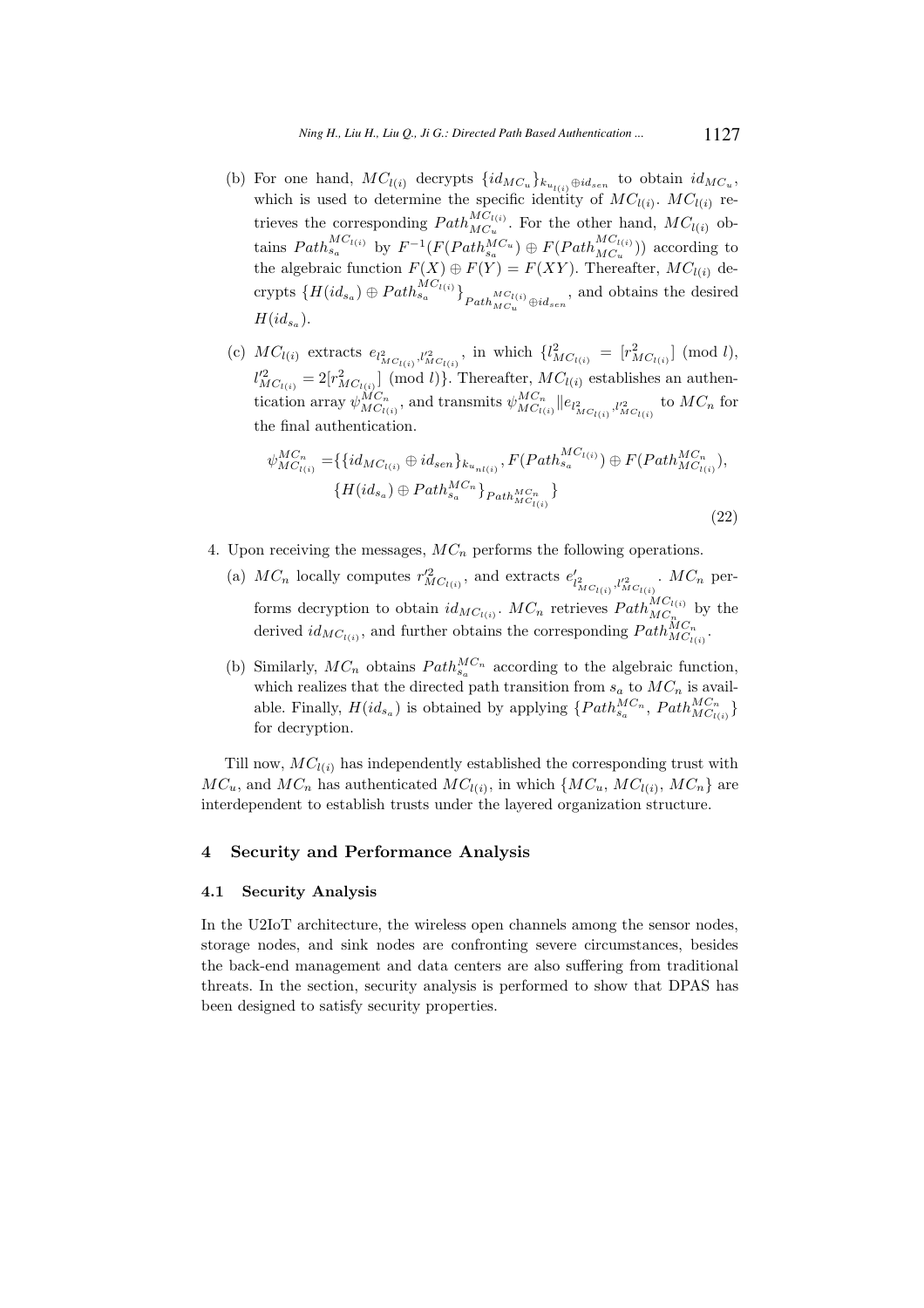- (b) For one hand,  $MC_{l(i)}$  decrypts  $\{id_{MC_u}\}_{k_{u_{l(i)}}\oplus id_{sen}}$  to obtain  $id_{MC_u}$ , which is used to determine the specific identity of  $MC_{l(i)}$ .  $MC_{l(i)}$  retrieves the corresponding  $Path_{MC_u}^{MC_{l(i)}}$ . For the other hand,  $MC_{l(i)}$  obtains  $Path_{s_a}^{MC_{l(i)}}$  by  $F^{-1}(F(Path_{s_a}^{MC_u}) \oplus F(Path_{MC_u}^{MC_{l(i)}}))$  according to the algebraic function  $F(X) \oplus F(Y) = F(XY)$ . Thereafter,  $MC_{l(i)}$  decrypts  $\{H(id_{s_a})\oplus Path_{s_a}^{MC_{l(i)}}\}_{}_{Path_{MC_u}}^{MC_{l(i)}}$  and obtains the desired  $H(id_{s_a}).$
- (c)  $MC_{l(i)}$  extracts  $e_{l_{MC_{l(i)}}^2,l_{MC_{l(i)}}'^2}$ , in which  $\{l_{MC_{l(i)}}^2 = [r_{MC_{l(i)}}^2] \pmod{l}$ ,  $l'^{2}_{MC_{l(i)}} = 2[r^{2}_{MC_{l(i)}}] \pmod{l}$ . Thereafter,  $MC_{l(i)}$  establishes an authentication array  $\psi_{MC_{I(i)}}^{MC_n}$ , and transmits  $\psi_{MC_{I(i)}}^{MC_n} \| e_{l^2_{MC_{I(i)}}, l'^2_{MC_{I(i)}}}$  to  $MC_n$  for the final authentication.

$$
\psi_{MC_{l(i)}}^{MC_{n}} = \{ \{ id_{MC_{l(i)}} \oplus id_{sen} \}_{k_{u_{nl(i)}}}, F(Path_{sa}^{MC_{l(i)}}) \oplus F(Path_{MC_{l(i)}}^{MC_{n}}), \{ H(id_{s_a}) \oplus Path_{s_a}^{MC_{n}} \}_{Path_{MC_{l(i)}}^{MC_{n}}} \}
$$
\n(22)

4. Upon receiving the messages,  $MC_n$  performs the following operations.

(a)  $MC_n$  locally computes  $r'^2_{MC_{l(i)}}$ , and extracts  $e'_{l^2_{MC_{l(i)}},l'^2_{MC_{l(i)}}}$ .  $MC_n$  performs decryption to obtain  $id_{MC_{l(i)}}$ .  $MC_n$  retrieves  $Path_{MC_n}^{MC_{l(i)}}$ .  $MC_n$  retrieves  $Path_{MC_n}^{MC_{l(i)}}$  by the derived  $id_{MC_{l(i)}}$ , and further obtains the corresponding  $Path_{MC_{l(i)}}^{MC_n}$ .

(b) Similarly,  $MC_n$  obtains  $Path_{s_a}^{MC_n}$  according to the algebraic function, which realizes that the directed path transition from  $s_a$  to  $MC_n$  is available. Finally,  $H(id_{s_a})$  is obtained by applying  $\{Path_{s_a}^{MC_n}, Path_{MC_{l(i)}}^{MC_n}\}$ for decryption.

Till now,  $MC_{l(i)}$  has independently established the corresponding trust with  $MC_u$ , and  $MC_n$  has authenticated  $MC_{l(i)}$ , in which  $\{MC_u, MC_{l(i)}, MC_n\}$  are interdependent to establish trusts under the layered organization structure.

## 4 Security and Performance Analysis

### 4.1 Security Analysis

In the U2IoT architecture, the wireless open channels among the sensor nodes, storage nodes, and sink nodes are confronting severe circumstances, besides the back-end management and data centers are also suffering from traditional threats. In the section, security analysis is performed to show that DPAS has been designed to satisfy security properties.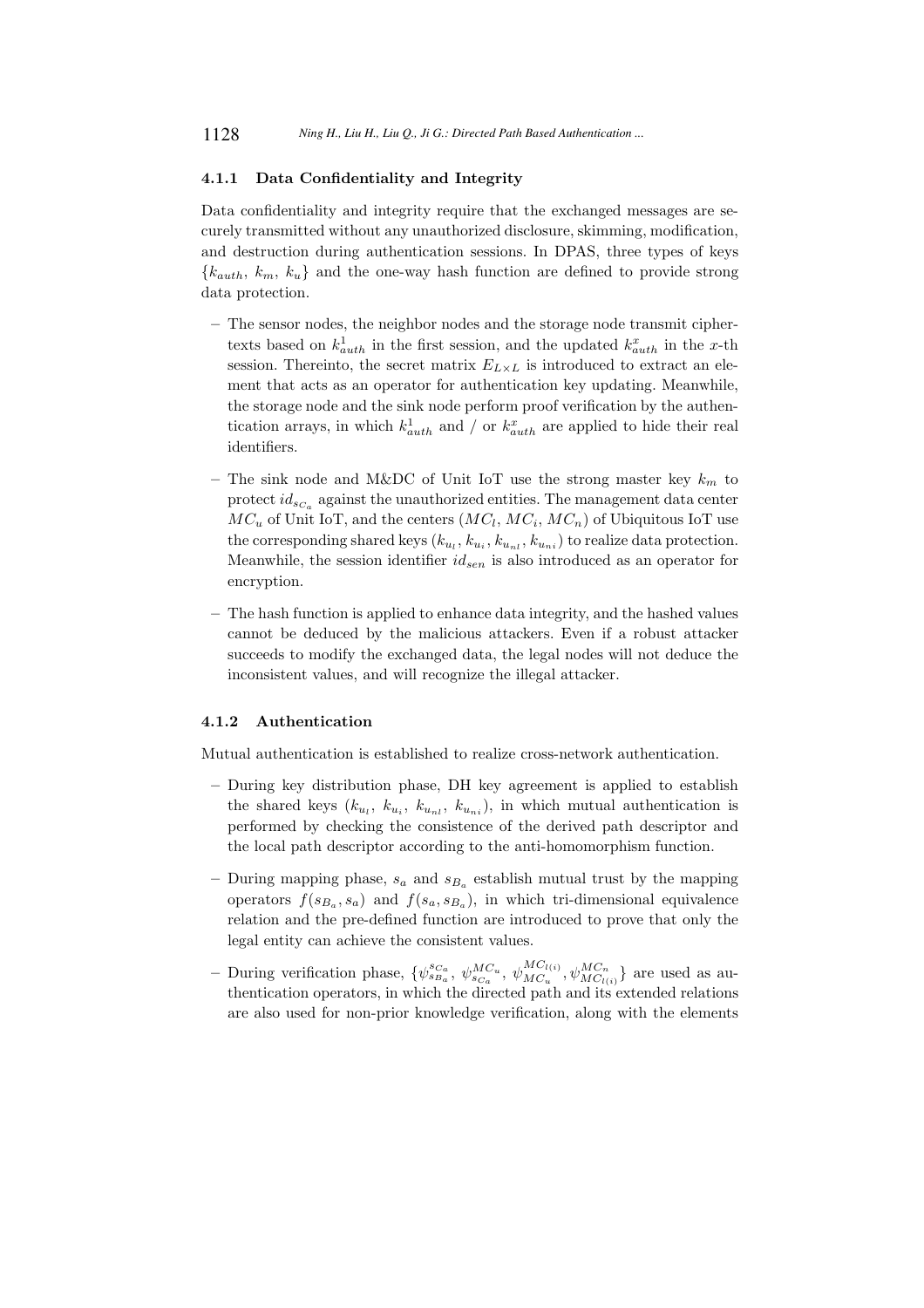### 4.1.1 Data Confidentiality and Integrity

Data confidentiality and integrity require that the exchanged messages are securely transmitted without any unauthorized disclosure, skimming, modification, and destruction during authentication sessions. In DPAS, three types of keys  ${k_{auth}, k_m, k_u}$  and the one-way hash function are defined to provide strong data protection.

- The sensor nodes, the neighbor nodes and the storage node transmit ciphertexts based on  $k_{auth}^1$  in the first session, and the updated  $k_{auth}^x$  in the x-th session. Thereinto, the secret matrix  $E_{L\times L}$  is introduced to extract an element that acts as an operator for authentication key updating. Meanwhile, the storage node and the sink node perform proof verification by the authentication arrays, in which  $k_{auth}^1$  and / or  $k_{auth}^x$  are applied to hide their real identifiers.
- The sink node and M&DC of Unit IoT use the strong master key  $k_m$  to protect  $id_{s_{C_a}}$  against the unauthorized entities. The management data center  $MC_u$  of Unit IoT, and the centers  $(MC_l, MC_i, MC_n)$  of Ubiquitous IoT use the corresponding shared keys  $(k_{u_l}, k_{u_l}, k_{u_{nl}}, k_{u_{nl}})$  to realize data protection. Meanwhile, the session identifier  $id_{sen}$  is also introduced as an operator for encryption.
- The hash function is applied to enhance data integrity, and the hashed values cannot be deduced by the malicious attackers. Even if a robust attacker succeeds to modify the exchanged data, the legal nodes will not deduce the inconsistent values, and will recognize the illegal attacker.

#### 4.1.2 Authentication

Mutual authentication is established to realize cross-network authentication.

- During key distribution phase, DH key agreement is applied to establish the shared keys  $(k_{u_i}, k_{u_i}, k_{u_{ni}}, k_{u_{ni}})$ , in which mutual authentication is performed by checking the consistence of the derived path descriptor and the local path descriptor according to the anti-homomorphism function.
- During mapping phase,  $s_a$  and  $s_{B_a}$  establish mutual trust by the mapping operators  $f(s_{B_a}, s_a)$  and  $f(s_a, s_{B_a})$ , in which tri-dimensional equivalence relation and the pre-defined function are introduced to prove that only the legal entity can achieve the consistent values.
- During verification phase,  $\{\psi_{s_{B_a}}^{s_{C_a}}, \psi_{s_{C_a}}^{MC_u}, \psi_{MC_u}^{MC_{l(i)}}\}$  ${}_{MC_i}^{MC_{l(i)}}, \psi_{MC_{l(i)}}^{MC_n} \}$  are used as authentication operators, in which the directed path and its extended relations are also used for non-prior knowledge verification, along with the elements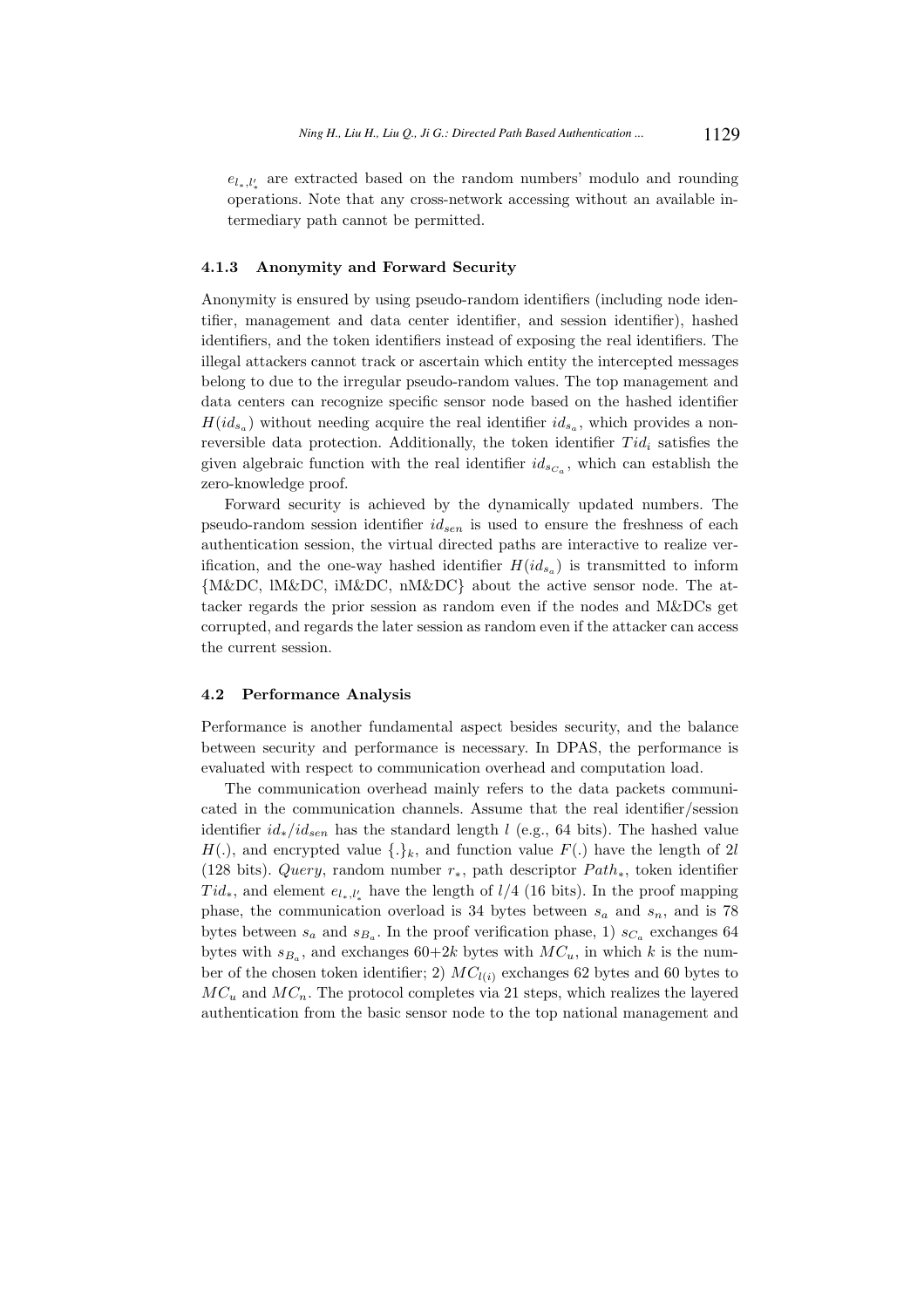$e_{l_*,l'_*}$  are extracted based on the random numbers' modulo and rounding operations. Note that any cross-network accessing without an available intermediary path cannot be permitted.

#### 4.1.3 Anonymity and Forward Security

Anonymity is ensured by using pseudo-random identifiers (including node identifier, management and data center identifier, and session identifier), hashed identifiers, and the token identifiers instead of exposing the real identifiers. The illegal attackers cannot track or ascertain which entity the intercepted messages belong to due to the irregular pseudo-random values. The top management and data centers can recognize specific sensor node based on the hashed identifier  $H(id_{s_a})$  without needing acquire the real identifier  $id_{s_a}$ , which provides a nonreversible data protection. Additionally, the token identifier  $Tid_i$  satisfies the given algebraic function with the real identifier  $id_{s_{C_a}}$ , which can establish the zero-knowledge proof.

Forward security is achieved by the dynamically updated numbers. The pseudo-random session identifier  $id_{sen}$  is used to ensure the freshness of each authentication session, the virtual directed paths are interactive to realize verification, and the one-way hashed identifier  $H(id_{s_a})$  is transmitted to inform {M&DC, lM&DC, iM&DC, nM&DC} about the active sensor node. The attacker regards the prior session as random even if the nodes and M&DCs get corrupted, and regards the later session as random even if the attacker can access the current session.

#### 4.2 Performance Analysis

Performance is another fundamental aspect besides security, and the balance between security and performance is necessary. In DPAS, the performance is evaluated with respect to communication overhead and computation load.

The communication overhead mainly refers to the data packets communicated in the communication channels. Assume that the real identifier/session identifier  $id_*/id_{sen}$  has the standard length l (e.g., 64 bits). The hashed value  $H(.)$ , and encrypted value  $\{.\}_k$ , and function value  $F(.)$  have the length of 2l (128 bits). Query, random number  $r_*,$  path descriptor  $Path_*$ , token identifier  $Tid_*$ , and element  $e_{l_*, l'_*}$  have the length of  $l/4$  (16 bits). In the proof mapping phase, the communication overload is 34 bytes between  $s_a$  and  $s_n$ , and is 78 bytes between  $s_a$  and  $s_{B_a}$ . In the proof verification phase, 1)  $s_{C_a}$  exchanges 64 bytes with  $s_{B_a}$ , and exchanges  $60+2k$  bytes with  $MC_u$ , in which k is the number of the chosen token identifier; 2)  $MC_{l(i)}$  exchanges 62 bytes and 60 bytes to  $MC_u$  and  $MC_n$ . The protocol completes via 21 steps, which realizes the layered authentication from the basic sensor node to the top national management and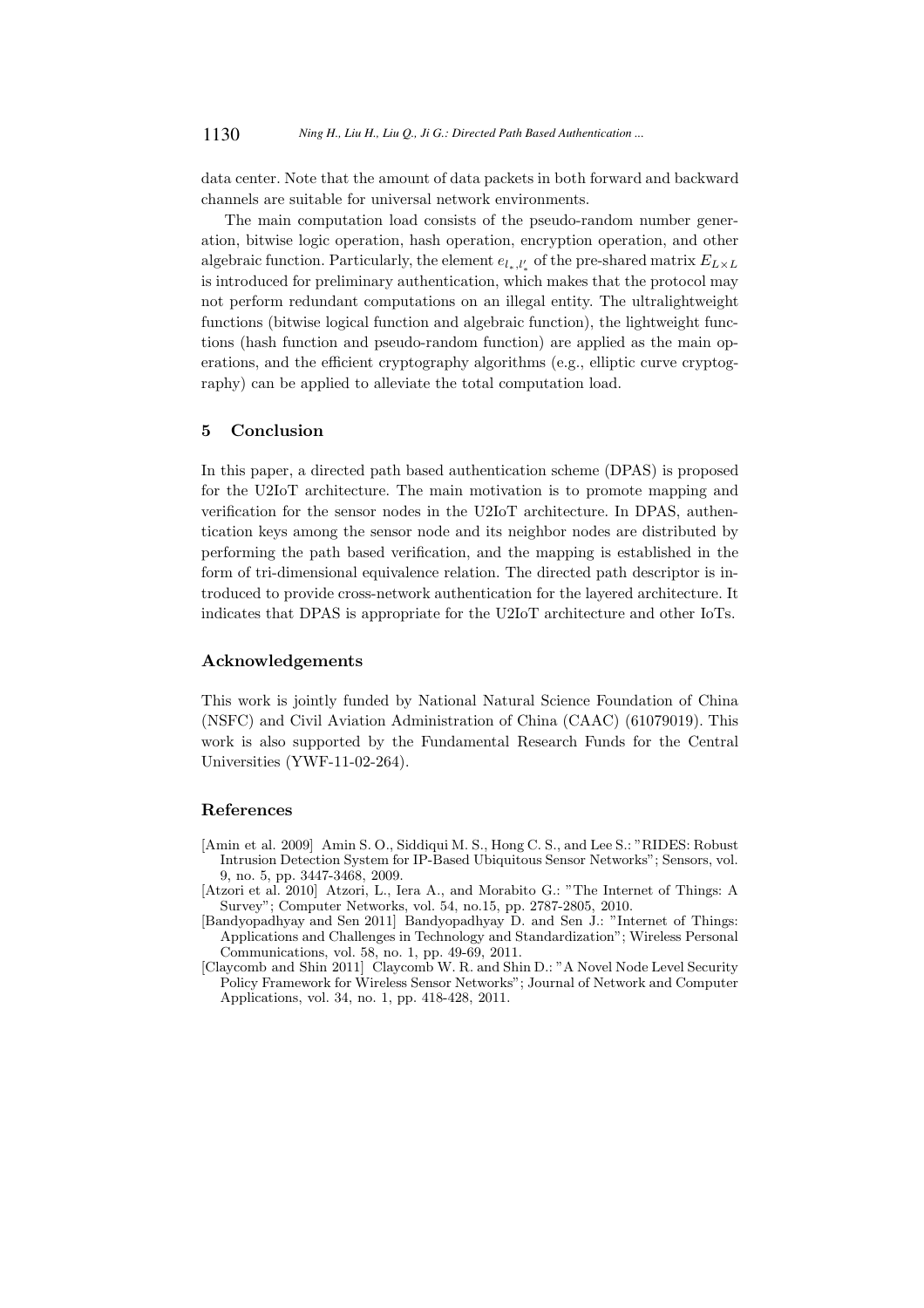data center. Note that the amount of data packets in both forward and backward channels are suitable for universal network environments.

The main computation load consists of the pseudo-random number generation, bitwise logic operation, hash operation, encryption operation, and other algebraic function. Particularly, the element  $e_{l_*l'_*}$  of the pre-shared matrix  $E_{L\times L}$ is introduced for preliminary authentication, which makes that the protocol may not perform redundant computations on an illegal entity. The ultralightweight functions (bitwise logical function and algebraic function), the lightweight functions (hash function and pseudo-random function) are applied as the main operations, and the efficient cryptography algorithms (e.g., elliptic curve cryptography) can be applied to alleviate the total computation load.

## 5 Conclusion

In this paper, a directed path based authentication scheme (DPAS) is proposed for the U2IoT architecture. The main motivation is to promote mapping and verification for the sensor nodes in the U2IoT architecture. In DPAS, authentication keys among the sensor node and its neighbor nodes are distributed by performing the path based verification, and the mapping is established in the form of tri-dimensional equivalence relation. The directed path descriptor is introduced to provide cross-network authentication for the layered architecture. It indicates that DPAS is appropriate for the U2IoT architecture and other IoTs.

## Acknowledgements

This work is jointly funded by National Natural Science Foundation of China (NSFC) and Civil Aviation Administration of China (CAAC) (61079019). This work is also supported by the Fundamental Research Funds for the Central Universities (YWF-11-02-264).

#### References

- [Amin et al. 2009] Amin S. O., Siddiqui M. S., Hong C. S., and Lee S.: "RIDES: Robust Intrusion Detection System for IP-Based Ubiquitous Sensor Networks"; Sensors, vol. 9, no. 5, pp. 3447-3468, 2009.
- [Atzori et al. 2010] Atzori, L., Iera A., and Morabito G.: "The Internet of Things: A Survey"; Computer Networks, vol. 54, no.15, pp. 2787-2805, 2010.
- [Bandyopadhyay and Sen 2011] Bandyopadhyay D. and Sen J.: "Internet of Things: Applications and Challenges in Technology and Standardization"; Wireless Personal Communications, vol. 58, no. 1, pp. 49-69, 2011.
- [Claycomb and Shin 2011] Claycomb W. R. and Shin D.: "A Novel Node Level Security Policy Framework for Wireless Sensor Networks"; Journal of Network and Computer Applications, vol. 34, no. 1, pp. 418-428, 2011.